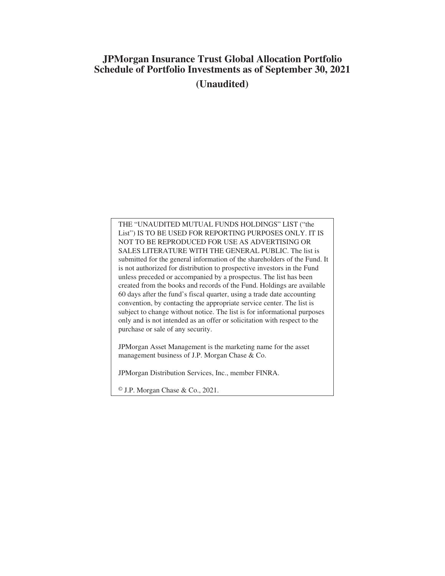# **JPMorgan Insurance Trust Global Allocation Portfolio Schedule of Portfolio Investments as of September 30, 2021 (Unaudited)**

THE "UNAUDITED MUTUAL FUNDS HOLDINGS" LIST ("the List") IS TO BE USED FOR REPORTING PURPOSES ONLY. IT IS NOT TO BE REPRODUCED FOR USE AS ADVERTISING OR SALES LITERATURE WITH THE GENERAL PUBLIC. The list is submitted for the general information of the shareholders of the Fund. It is not authorized for distribution to prospective investors in the Fund unless preceded or accompanied by a prospectus. The list has been created from the books and records of the Fund. Holdings are available 60 days after the fund's fiscal quarter, using a trade date accounting convention, by contacting the appropriate service center. The list is subject to change without notice. The list is for informational purposes only and is not intended as an offer or solicitation with respect to the purchase or sale of any security.

JPMorgan Asset Management is the marketing name for the asset management business of J.P. Morgan Chase & Co.

JPMorgan Distribution Services, Inc., member FINRA.

© J.P. Morgan Chase & Co., 2021.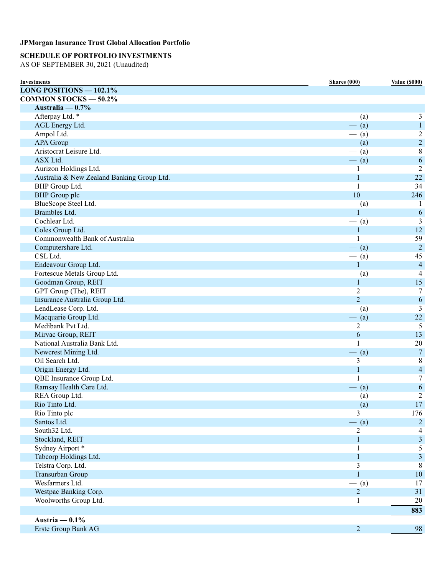## **SCHEDULE OF PORTFOLIO INVESTMENTS**

AS OF SEPTEMBER 30, 2021 (Unaudited)

| <b>Investments</b>                           | Shares (000)   | <b>Value (\$000)</b> |
|----------------------------------------------|----------------|----------------------|
| <b>LONG POSITIONS - <math>102.1\%</math></b> |                |                      |
| <b>COMMON STOCKS - 50.2%</b>                 |                |                      |
| Australia — $0.7\%$                          |                |                      |
| Afterpay Ltd. *                              | $-$ (a)        | 3                    |
| AGL Energy Ltd.                              | $-$ (a)        | $\mathbf{1}$         |
| Ampol Ltd.                                   | $-$ (a)        | $\overline{c}$       |
| <b>APA Group</b>                             | $-$ (a)        | $\overline{c}$       |
| Aristocrat Leisure Ltd.                      | $-$ (a)        | $8\,$                |
| ASX Ltd.                                     | $-$ (a)        | $\sqrt{6}$           |
| Aurizon Holdings Ltd.                        | 1              | $\overline{2}$       |
| Australia & New Zealand Banking Group Ltd.   | $\mathbf{1}$   | $22\,$               |
| BHP Group Ltd.                               | 1              | 34                   |
| <b>BHP</b> Group plc                         | 10             | 246                  |
| BlueScope Steel Ltd.                         | $-$ (a)        | 1                    |
| Brambles Ltd.                                | 1              | 6                    |
| Cochlear Ltd.                                | $-$ (a)        | 3                    |
| Coles Group Ltd.                             | $\mathbf{1}$   | 12                   |
| Commonwealth Bank of Australia               | 1              | 59                   |
| Computershare Ltd.                           | $-$ (a)        | $\boldsymbol{2}$     |
| CSL Ltd.                                     | $-$ (a)        | 45                   |
| Endeavour Group Ltd.                         | $\mathbf{1}$   | $\overline{4}$       |
| Fortescue Metals Group Ltd.                  | $-$ (a)        | $\overline{4}$       |
| Goodman Group, REIT                          | $\mathbf{1}$   | 15                   |
| GPT Group (The), REIT                        | 2              | $\tau$               |
| Insurance Australia Group Ltd.               | $\overline{2}$ | 6                    |
| LendLease Corp. Ltd.                         | $-$ (a)        | 3                    |
| Macquarie Group Ltd.                         | $-$ (a)        | 22                   |
| Medibank Pvt Ltd.                            | 2              | 5                    |
| Mirvac Group, REIT                           | 6              | 13                   |
| National Australia Bank Ltd.                 | 1              | $20\,$               |
| Newcrest Mining Ltd.                         |                | $\overline{7}$       |
| Oil Search Ltd.                              | $-$ (a)<br>3   | $\,$ 8 $\,$          |
| Origin Energy Ltd.                           | $\mathbf{1}$   | $\overline{4}$       |
| QBE Insurance Group Ltd.                     | 1              | $\tau$               |
|                                              |                |                      |
| Ramsay Health Care Ltd.                      | $-$ (a)        | 6                    |
| REA Group Ltd.                               | $-$ (a)        | $\overline{2}$       |
| Rio Tinto Ltd.                               | $-$ (a)        | 17                   |
| Rio Tinto plc                                | 3              | 176                  |
| Santos Ltd.                                  | $-$ (a)        | $\overline{2}$       |
| South32 Ltd.                                 | 2              | 4                    |
| Stockland, REIT                              | $\mathbf{1}$   | $\mathfrak{Z}$       |
| Sydney Airport *                             | 1              | 5                    |
| Tabcorp Holdings Ltd.                        | 1              | $\mathfrak{Z}$       |
| Telstra Corp. Ltd.                           | 3              | 8                    |
| Transurban Group                             | 1              | $10\,$               |
| Wesfarmers Ltd.                              | $-$ (a)        | 17                   |
| Westpac Banking Corp.                        | $\overline{2}$ | 31                   |
| Woolworths Group Ltd.                        | 1              | $20\,$               |
|                                              |                | 883                  |
| Austria $-0.1%$                              |                |                      |
| Erste Group Bank AG                          | $\overline{c}$ | 98                   |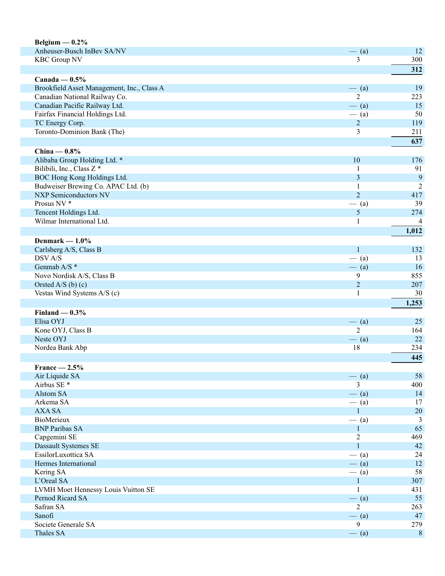| Belgium $-0.2\%$                           |                  |                |
|--------------------------------------------|------------------|----------------|
| Anheuser-Busch InBev SA/NV                 | $-$ (a)          | 12             |
| <b>KBC Group NV</b>                        | 3                | 300            |
|                                            |                  | 312            |
| Canada — $0.5\%$                           |                  |                |
| Brookfield Asset Management, Inc., Class A | $-$ (a)          | 19             |
| Canadian National Railway Co.              | 2                | 223            |
| Canadian Pacific Railway Ltd.              | $-$ (a)          | 15             |
| Fairfax Financial Holdings Ltd.            | $-$ (a)          | 50             |
| TC Energy Corp.                            | $\overline{2}$   | 119            |
| Toronto-Dominion Bank (The)                | 3                | 211            |
|                                            |                  | 637            |
|                                            |                  |                |
| China $-0.8%$                              |                  |                |
| Alibaba Group Holding Ltd. *               | 10               | 176            |
| Bilibili, Inc., Class Z*                   | $\mathbf 1$      | 91             |
| BOC Hong Kong Holdings Ltd.                | 3                | 9              |
| Budweiser Brewing Co. APAC Ltd. (b)        | 1                | $\overline{c}$ |
| <b>NXP Semiconductors NV</b>               | $\overline{2}$   | 417            |
| Prosus NV <sup>*</sup>                     | $-$ (a)          | 39             |
| Tencent Holdings Ltd.                      | 5                | 274            |
| Wilmar International Ltd.                  | 1                | 4              |
|                                            |                  | 1,012          |
| Denmark $-1.0\%$                           |                  |                |
| Carlsberg A/S, Class B                     | $\mathbf{1}$     | 132            |
| DSV A/S                                    | $-$ (a)          | 13             |
| Genmab A/S *                               | $-$ (a)          | 16             |
| Novo Nordisk A/S, Class B                  | 9                | 855            |
| Orsted A/S (b) $(c)$                       | $\sqrt{2}$       | 207            |
| Vestas Wind Systems A/S (c)                | $\mathbf{1}$     | 30             |
|                                            |                  | 1,253          |
| Finland $-0.3%$                            |                  |                |
| Elisa OYJ                                  | $-$ (a)          | 25             |
| Kone OYJ, Class B                          | $\overline{2}$   | 164            |
| Neste OYJ                                  | $-$ (a)          | 22             |
| Nordea Bank Abp                            | 18               | 234            |
|                                            |                  | 445            |
| $France - 2.5%$                            |                  |                |
|                                            |                  | 58             |
| Air Liquide SA<br>Airbus SE <sup>*</sup>   | $-$ (a)<br>3     | 400            |
| Alstom SA                                  |                  |                |
|                                            | $-$ (a)          | 14             |
| Arkema SA                                  | $-$ (a)          | 17             |
| <b>AXA SA</b>                              | $\mathbf{1}$     | 20             |
| BioMerieux                                 | $-$ (a)          | $\mathfrak{Z}$ |
| <b>BNP Paribas SA</b>                      | $\mathbf{1}$     | 65             |
| Capgemini SE                               | $\boldsymbol{2}$ | 469            |
| Dassault Systemes SE                       | $\mathbf{1}$     | 42             |
| EssilorLuxottica SA                        | $-$ (a)          | 24             |
| Hermes International                       | $-$ (a)          | 12             |
| Kering SA                                  | $-$ (a)          | 58             |
| L'Oreal SA                                 | $\mathbf{1}$     | 307            |
| LVMH Moet Hennessy Louis Vuitton SE        | 1                | 431            |
| Pernod Ricard SA                           | $-$ (a)          | 55             |
| Safran SA                                  | $\overline{2}$   | 263            |
| Sanofi                                     | $-$ (a)          | 47             |
| Societe Generale SA                        | 9                | 279            |
| Thales SA                                  | $-$ (a)          | $\,8\,$        |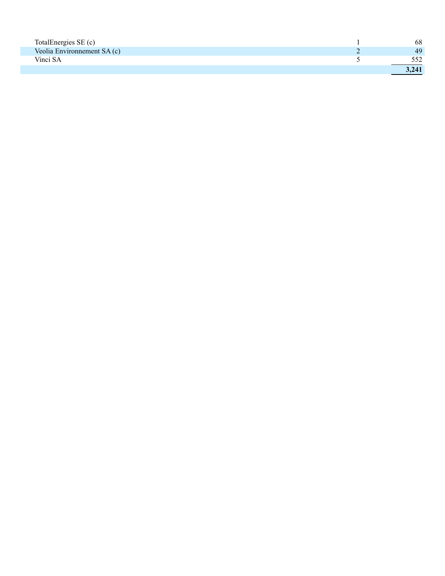| TotalEnergies SE (c)        | 68    |
|-----------------------------|-------|
| Veolia Environmement SA (c) | 49    |
| Vinci SA                    |       |
|                             | 3.241 |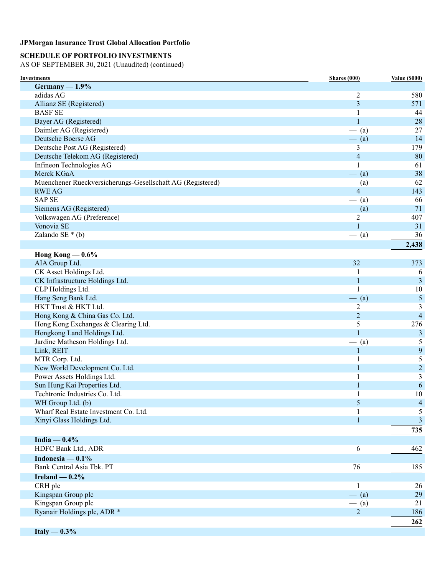## **SCHEDULE OF PORTFOLIO INVESTMENTS**

AS OF SEPTEMBER 30, 2021 (Unaudited) (continued)

| Investments                                                | Shares (000)            | <b>Value (\$000)</b> |
|------------------------------------------------------------|-------------------------|----------------------|
| $Germany - 1.9%$                                           |                         |                      |
| adidas AG                                                  | $\overline{2}$          | 580                  |
| Allianz SE (Registered)                                    | 3                       | 571                  |
| <b>BASF SE</b>                                             | 1                       | 44                   |
| Bayer AG (Registered)                                      | 1                       | 28                   |
| Daimler AG (Registered)                                    | $-$ (a)                 | 27                   |
| Deutsche Boerse AG                                         | $-$ (a)                 | 14                   |
| Deutsche Post AG (Registered)                              | 3                       | 179                  |
| Deutsche Telekom AG (Registered)                           | $\overline{\mathbf{4}}$ | 80                   |
| Infineon Technologies AG                                   | 1                       | 61                   |
| Merck KGaA                                                 | $-$ (a)                 | 38                   |
| Muenchener Rueckversicherungs-Gesellschaft AG (Registered) | $-$ (a)                 | 62                   |
| <b>RWE AG</b>                                              | $\overline{4}$          | 143                  |
| <b>SAP SE</b>                                              | $-$ (a)                 | 66                   |
| Siemens AG (Registered)                                    | $-$ (a)                 | 71                   |
| Volkswagen AG (Preference)                                 | $\overline{c}$          | 407                  |
| Vonovia SE                                                 | 1                       | 31                   |
| Zalando SE $*(b)$                                          | $-$ (a)                 | 36                   |
|                                                            |                         | 2,438                |
| Hong Kong $-0.6\%$                                         |                         |                      |
| AIA Group Ltd.                                             | 32                      | 373                  |
| CK Asset Holdings Ltd.                                     | -1                      | 6                    |
| CK Infrastructure Holdings Ltd.                            | $\mathbf{1}$            | 3                    |
| CLP Holdings Ltd.                                          | 1                       | 10                   |
| Hang Seng Bank Ltd.                                        | $-$ (a)                 | $\mathfrak{S}$       |
| HKT Trust & HKT Ltd.                                       | 2                       | 3                    |
| Hong Kong & China Gas Co. Ltd.                             | $\overline{2}$          | $\overline{4}$       |
| Hong Kong Exchanges & Clearing Ltd.                        | 5                       | 276                  |
| Hongkong Land Holdings Ltd.                                | $\mathbf{1}$            | 3                    |
| Jardine Matheson Holdings Ltd.                             | $-$ (a)                 | 5                    |
| Link, REIT                                                 | 1                       | 9                    |
| MTR Corp. Ltd.                                             | 1                       | 5                    |
| New World Development Co. Ltd.                             | 1                       | $\boldsymbol{2}$     |
| Power Assets Holdings Ltd.                                 | 1                       | 3                    |
| Sun Hung Kai Properties Ltd.                               | 1                       | $\sqrt{6}$           |
| Techtronic Industries Co. Ltd.                             | 1                       | 10                   |
| WH Group Ltd. (b)                                          | 5                       | $\overline{4}$       |
| Wharf Real Estate Investment Co. Ltd.                      | 1                       | 5                    |
| Xinyi Glass Holdings Ltd.                                  | 1                       | 3                    |
|                                                            |                         | 735                  |
| India $-0.4\%$                                             |                         |                      |
| HDFC Bank Ltd., ADR                                        | 6                       | 462                  |
| Indonesia — $0.1\%$                                        |                         |                      |
| Bank Central Asia Tbk. PT                                  | 76                      | 185                  |
| Ireland $-0.2%$                                            |                         |                      |
| CRH plc                                                    | 1                       | 26                   |
| Kingspan Group plc                                         | $-$ (a)                 | 29                   |
| Kingspan Group plc                                         | $-$ (a)                 | 21                   |
| Ryanair Holdings plc, ADR *                                | $\overline{2}$          | 186                  |
|                                                            |                         | 262                  |
|                                                            |                         |                      |

**Italy — 0.3%**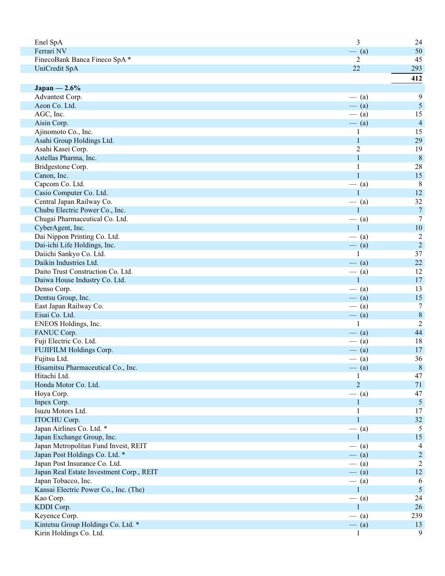| Enel SpA                                 | 3              | 24               |
|------------------------------------------|----------------|------------------|
| Ferrari NV                               | $-$ (a)        | 50               |
| FinecoBank Banca Fineco SpA*             | 2              | 45               |
| UniCredit SpA                            | 22             | 293              |
|                                          |                | 412              |
| Japan — $2.6\%$                          |                |                  |
| Advantest Corp.                          | $-$ (a)        | 9                |
| Aeon Co. Ltd.                            | $-$ (a)        | $\mathfrak{S}$   |
| AGC, Inc.                                | $-$ (a)        | 15               |
| Aisin Corp.                              | $-$ (a)        | $\overline{4}$   |
| Ajinomoto Co., Inc.                      | 1              | 15               |
| Asahi Group Holdings Ltd.                | $\mathbf{1}$   | 29               |
| Asahi Kasei Corp.                        | $\overline{2}$ | 19               |
| Astellas Pharma, Inc.                    | $\mathbf{1}$   | $8\phantom{.0}$  |
| Bridgestone Corp.                        | $\mathbf{1}$   | 28               |
| Canon, Inc.                              | $\mathbf{1}$   | 15               |
| Capcom Co. Ltd.                          | $-$ (a)        | 8                |
| Casio Computer Co. Ltd.                  | $\mathbf{1}$   | 12               |
| Central Japan Railway Co.                | $-$ (a)        | 32               |
| Chubu Electric Power Co., Inc.           | $\mathbf{1}$   | $\boldsymbol{7}$ |
| Chugai Pharmaceutical Co. Ltd.           | $-$ (a)        | 7                |
| CyberAgent, Inc.                         | $\mathbf{1}$   | 10               |
| Dai Nippon Printing Co. Ltd.             | $-$ (a)        | $\overline{c}$   |
| Dai-ichi Life Holdings, Inc.             | $-$ (a)        | $\sqrt{2}$       |
| Daiichi Sankyo Co. Ltd.                  | 1              | 37               |
| Daikin Industries Ltd.                   | $-$ (a)        | 22               |
| Daito Trust Construction Co. Ltd.        | $-$ (a)        | 12               |
| Daiwa House Industry Co. Ltd.            | $\mathbf{1}$   | 17               |
| Denso Corp.                              | $-$ (a)        | 13               |
| Dentsu Group, Inc.                       | $-$ (a)        | 15               |
| East Japan Railway Co.                   | $-$ (a)        | 7                |
| Eisai Co. Ltd.                           | $-$ (a)        | $\,8\,$          |
| ENEOS Holdings, Inc.                     | $\mathbf{1}$   | $\overline{2}$   |
| FANUC Corp.                              | $-$ (a)        | 44               |
| Fuji Electric Co. Ltd.                   | $-$ (a)        | 18               |
| FUJIFILM Holdings Corp.                  | $-$ (a)        | 17               |
| Fujitsu Ltd.                             | $-$ (a)        | 36               |
| Hisamitsu Pharmaceutical Co., Inc.       | $-$ (a)        | $\, 8$           |
| Hitachi Ltd.                             | 1              | 47               |
| Honda Motor Co. Ltd.                     | $\overline{2}$ | 71               |
| Hoya Corp.                               | $-$ (a)        | 47               |
| Inpex Corp.                              |                | $\overline{5}$   |
| Isuzu Motors Ltd.                        | 1              | 17               |
| ITOCHU Corp.                             | $\mathbf{1}$   | 32               |
| Japan Airlines Co. Ltd. *                | $-$ (a)        | 5                |
| Japan Exchange Group, Inc.               | 1              | 15               |
| Japan Metropolitan Fund Invest, REIT     | $-$ (a)        | 4                |
| Japan Post Holdings Co. Ltd. *           | $-$ (a)        | $\overline{2}$   |
| Japan Post Insurance Co. Ltd.            | $-$ (a)        | $\overline{2}$   |
| Japan Real Estate Investment Corp., REIT | $-$ (a)        | 12               |
| Japan Tobacco, Inc.                      | $-$ (a)        | 6                |
| Kansai Electric Power Co., Inc. (The)    | $\mathbf{1}$   | $\overline{5}$   |
| Kao Corp.                                | $-$ (a)        | 24               |
| KDDI Corp.                               | 1              | 26               |
| Keyence Corp.                            | $-$ (a)        | 239              |
| Kintetsu Group Holdings Co. Ltd. *       | $-$ (a)        | 13               |
| Kirin Holdings Co. Ltd.                  | 1              | 9                |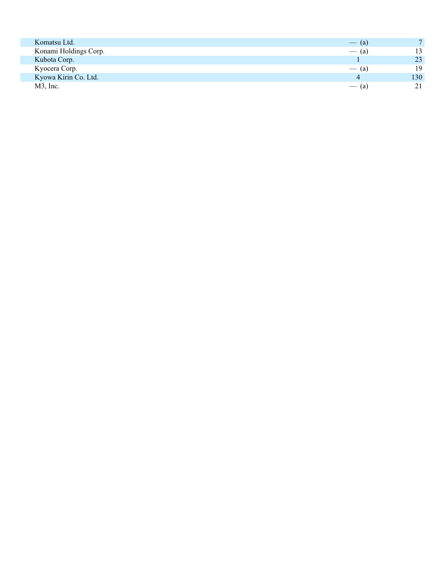| Komatsu Ltd.          | $-$ (a) | $\overline{7}$ |
|-----------------------|---------|----------------|
| Konami Holdings Corp. | $-$ (a) | 13             |
| Kubota Corp.          |         | 23             |
| Kyocera Corp.         | $-$ (a) | 19             |
| Kyowa Kirin Co. Ltd.  |         | 130            |
| $M3$ , Inc.           | $-$ (a) | 21             |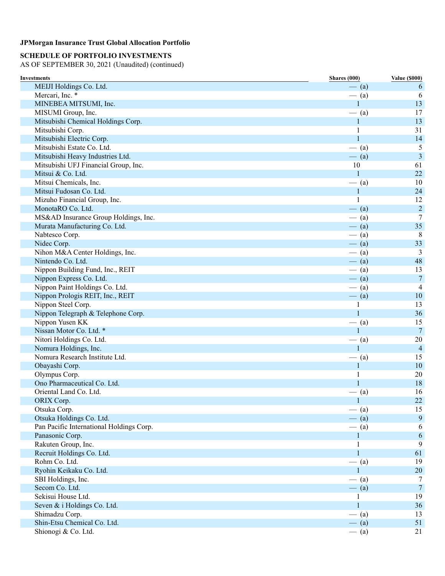## **SCHEDULE OF PORTFOLIO INVESTMENTS**

| <b>Investments</b>                                     | <b>Shares</b> (000) | <b>Value (\$000)</b> |
|--------------------------------------------------------|---------------------|----------------------|
| MEIJI Holdings Co. Ltd.                                | $-$ (a)             | 6                    |
| Mercari, Inc. *                                        | $-$ (a)             | 6                    |
| MINEBEA MITSUMI, Inc.                                  | $\mathbf{1}$        | 13                   |
| MISUMI Group, Inc.                                     | $-$ (a)             | 17                   |
| Mitsubishi Chemical Holdings Corp.                     | $\mathbf{1}$        | 13                   |
| Mitsubishi Corp.                                       | 1                   | 31                   |
| Mitsubishi Electric Corp.                              | 1                   | 14                   |
| Mitsubishi Estate Co. Ltd.                             | $-$ (a)             | 5                    |
| Mitsubishi Heavy Industries Ltd.                       | $-$ (a)             | $\overline{3}$       |
| Mitsubishi UFJ Financial Group, Inc.                   | 10                  | 61                   |
| Mitsui & Co. Ltd.                                      | 1                   | 22                   |
| Mitsui Chemicals, Inc.                                 | $-$ (a)             | 10                   |
| Mitsui Fudosan Co. Ltd.                                | $\mathbf{1}$        | 24                   |
| Mizuho Financial Group, Inc.                           | 1                   | 12                   |
| MonotaRO Co. Ltd.                                      | $-$ (a)             | $\overline{2}$       |
| MS&AD Insurance Group Holdings, Inc.                   | $-$ (a)             | 7                    |
| Murata Manufacturing Co. Ltd.                          | $-$ (a)             | 35                   |
| Nabtesco Corp.                                         | $-$ (a)             | 8                    |
| Nidec Corp.                                            | $-$ (a)             | 33                   |
| Nihon M&A Center Holdings, Inc.                        |                     | 3                    |
| Nintendo Co. Ltd.                                      | $-$ (a)             | 48                   |
| Nippon Building Fund, Inc., REIT                       | $-$ (a)             | 13                   |
| Nippon Express Co. Ltd.                                | $-$ (a)             | $\overline{7}$       |
| Nippon Paint Holdings Co. Ltd.                         | $-$ (a)             |                      |
|                                                        | $-$ (a)             | 4                    |
| Nippon Prologis REIT, Inc., REIT<br>Nippon Steel Corp. | $-$ (a)             | 10<br>13             |
|                                                        | 1<br>1              | 36                   |
| Nippon Telegraph & Telephone Corp.<br>Nippon Yusen KK  |                     | 15                   |
| Nissan Motor Co. Ltd. *                                | $-$ (a)<br>1        | $\overline{7}$       |
|                                                        |                     |                      |
| Nitori Holdings Co. Ltd.                               | $-$ (a)             | 20                   |
| Nomura Holdings, Inc.                                  | 1                   | $\overline{4}$       |
| Nomura Research Institute Ltd.                         | $-$ (a)             | 15                   |
| Obayashi Corp.                                         | $\mathbf{1}$        | 10                   |
| Olympus Corp.                                          | 1                   | $20\,$               |
| Ono Pharmaceutical Co. Ltd.                            | 1                   | 18                   |
| Oriental Land Co. Ltd.                                 | $-$ (a)             | 16                   |
| ORIX Corp.                                             | $\mathbf{1}$        | $22\,$               |
| Otsuka Corp.                                           | $-$ (a)             | 15                   |
| Otsuka Holdings Co. Ltd.                               | $-$ (a)             | 9                    |
| Pan Pacific International Holdings Corp.               | $-$ (a)             | 6                    |
| Panasonic Corp.                                        | $\mathbf{1}$        | 6                    |
| Rakuten Group, Inc.                                    | 1                   | 9                    |
| Recruit Holdings Co. Ltd.                              | $\mathbf{1}$        | 61                   |
| Rohm Co. Ltd.                                          | $-$ (a)             | 19                   |
| Ryohin Keikaku Co. Ltd.                                | 1                   | 20                   |
| SBI Holdings, Inc.                                     | $-$ (a)             | 7                    |
| Secom Co. Ltd.                                         | $-$ (a)             | $\overline{7}$       |
| Sekisui House Ltd.                                     | 1                   | 19                   |
| Seven & i Holdings Co. Ltd.                            | 1                   | 36                   |
| Shimadzu Corp.                                         | $-$ (a)             | 13                   |
| Shin-Etsu Chemical Co. Ltd.                            | $-$ (a)             | 51                   |
| Shionogi & Co. Ltd.                                    | $-$ (a)             | 21                   |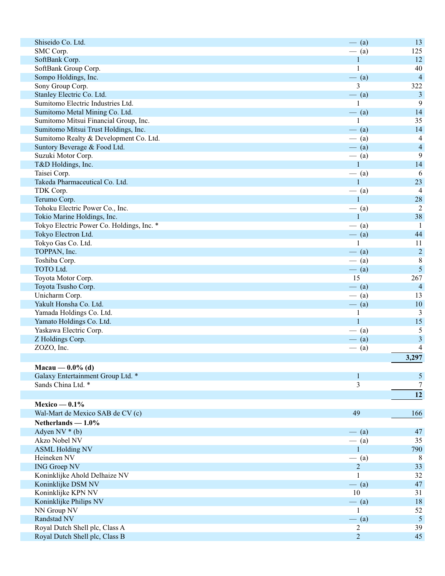| Shiseido Co. Ltd.                         | $-$ (a)        | 13                       |
|-------------------------------------------|----------------|--------------------------|
| SMC Corp.                                 | $-$ (a)        | 125                      |
| SoftBank Corp.                            | $\mathbf{1}$   | 12                       |
| SoftBank Group Corp.                      | 1              | 40                       |
| Sompo Holdings, Inc.                      | $-$ (a)        | $\overline{4}$           |
| Sony Group Corp.                          | 3              | 322                      |
| Stanley Electric Co. Ltd.                 | $-$ (a)        | $\mathfrak{Z}$           |
| Sumitomo Electric Industries Ltd.         |                | 9                        |
| Sumitomo Metal Mining Co. Ltd.            | $-$ (a)        | 14                       |
| Sumitomo Mitsui Financial Group, Inc.     |                | 35                       |
| Sumitomo Mitsui Trust Holdings, Inc.      | $-$ (a)        | 14                       |
| Sumitomo Realty & Development Co. Ltd.    | $-$ (a)        | $\overline{4}$           |
| Suntory Beverage & Food Ltd.              | $-$ (a)        | $\overline{4}$           |
| Suzuki Motor Corp.                        | $-$ (a)        | 9                        |
| T&D Holdings, Inc.                        | $\mathbf{1}$   | 14                       |
| Taisei Corp.                              | $-$ (a)        | 6                        |
| Takeda Pharmaceutical Co. Ltd.            | $\mathbf{1}$   | 23                       |
| TDK Corp.                                 | $-$ (a)        | $\overline{4}$           |
| Terumo Corp.                              | $\mathbf{1}$   | 28                       |
| Tohoku Electric Power Co., Inc.           | $-$ (a)        | $\overline{2}$           |
| Tokio Marine Holdings, Inc.               | $\mathbf{1}$   | 38                       |
| Tokyo Electric Power Co. Holdings, Inc. * | $-$ (a)        | -1                       |
| Tokyo Electron Ltd.                       | $-$ (a)        | 44                       |
| Tokyo Gas Co. Ltd.                        | 1              | 11                       |
| TOPPAN, Inc.                              | $-$ (a)        | $\sqrt{2}$               |
| Toshiba Corp.                             | $-$ (a)        | $\,8\,$                  |
| TOTO Ltd.                                 | $-$ (a)        | 5                        |
| Toyota Motor Corp.                        | 15             | 267                      |
| Toyota Tsusho Corp.                       | $-$ (a)        | $\overline{4}$           |
| Unicharm Corp.                            | $-$ (a)        | 13                       |
| Yakult Honsha Co. Ltd.                    | $-$ (a)        | 10                       |
| Yamada Holdings Co. Ltd.                  | $\mathbf{1}$   | 3                        |
| Yamato Holdings Co. Ltd.                  | $\mathbf{1}$   | 15                       |
| Yaskawa Electric Corp.                    | $-$ (a)        | 5                        |
| Z Holdings Corp.                          | $-$ (a)        | $\mathfrak{Z}$           |
| ZOZO, Inc.                                | $-$ (a)        | $\overline{\mathcal{A}}$ |
|                                           |                | 3,297                    |
|                                           |                |                          |
| Macau — $0.0\%$ (d)                       |                |                          |
| Galaxy Entertainment Group Ltd. *         | 1              | 5                        |
| Sands China Ltd. *                        | 3              | $\boldsymbol{7}$         |
|                                           |                | 12                       |
| Mexico — $0.1\%$                          |                |                          |
| Wal-Mart de Mexico SAB de CV (c)          | 49             | 166                      |
| Netherlands $-1.0\%$                      |                |                          |
| Adyen $NV * (b)$                          | $-$ (a)        | 47                       |
| Akzo Nobel NV                             | $-$ (a)        | 35                       |
| <b>ASML Holding NV</b>                    | 1              | 790                      |
| Heineken NV                               | $-$ (a)        | 8                        |
| <b>ING Groep NV</b>                       | $\overline{2}$ | 33                       |
| Koninklijke Ahold Delhaize NV             | 1              | 32                       |
| Koninklijke DSM NV                        | $-$ (a)        | 47                       |
| Koninklijke KPN NV                        | 10             | 31                       |
| Koninklijke Philips NV                    | $-$ (a)        | 18                       |
| NN Group NV                               | 1              | 52                       |
| Randstad NV                               | $-$ (a)        | 5                        |
| Royal Dutch Shell plc, Class A            | 2              | 39                       |
| Royal Dutch Shell plc, Class B            | $\overline{2}$ | 45                       |
|                                           |                |                          |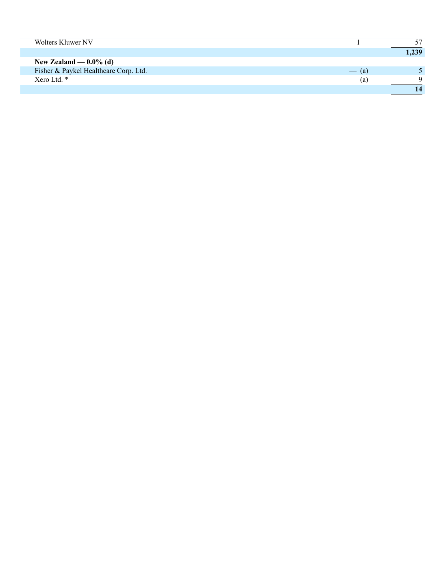| Wolters Kluwer NV                     |         | 57    |
|---------------------------------------|---------|-------|
|                                       |         | 1,239 |
| New Zealand — $0.0\%$ (d)             |         |       |
| Fisher & Paykel Healthcare Corp. Ltd. | $-$ (a) |       |
| Xero Ltd. *                           | $-$ (a) |       |
|                                       |         |       |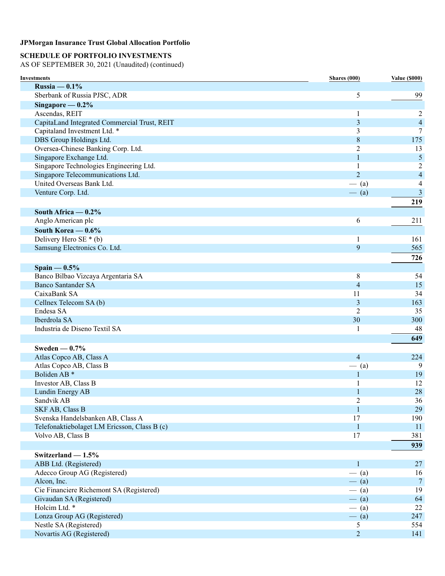## **SCHEDULE OF PORTFOLIO INVESTMENTS**

| Investments                                  | Shares (000)   | <b>Value (\$000)</b>     |
|----------------------------------------------|----------------|--------------------------|
| Russia $-0.1\%$                              |                |                          |
| Sberbank of Russia PJSC, ADR                 | 5              | 99                       |
| Singapore $-0.2\%$                           |                |                          |
| Ascendas, REIT                               | 1              | 2                        |
| CapitaLand Integrated Commercial Trust, REIT | 3              | $\overline{\mathcal{L}}$ |
| Capitaland Investment Ltd. *                 | 3              | 7                        |
| DBS Group Holdings Ltd.                      | 8              | 175                      |
| Oversea-Chinese Banking Corp. Ltd.           | 2              | 13                       |
| Singapore Exchange Ltd.                      | 1              | $\mathfrak{S}$           |
| Singapore Technologies Engineering Ltd.      | 1              | 2                        |
| Singapore Telecommunications Ltd.            | $\overline{2}$ | $\overline{\mathcal{A}}$ |
| United Overseas Bank Ltd.                    | $-$ (a)        | 4                        |
| Venture Corp. Ltd.                           | $-$ (a)        | 3                        |
|                                              |                | 219                      |
| South Africa $-0.2\%$                        |                |                          |
| Anglo American plc                           | 6              | 211                      |
| South Korea $-0.6\%$                         |                |                          |
| Delivery Hero SE $*$ (b)                     | 1              | 161                      |
| Samsung Electronics Co. Ltd.                 | 9              | 565                      |
|                                              |                | 726                      |
| $Spain - 0.5%$                               |                |                          |
| Banco Bilbao Vizcaya Argentaria SA           | 8              | 54                       |
| <b>Banco Santander SA</b>                    | 4              | 15                       |
| CaixaBank SA                                 | 11             | 34                       |
| Cellnex Telecom SA (b)                       | 3              | 163                      |
| Endesa SA                                    | 2              | 35                       |
| Iberdrola SA                                 | 30             | 300                      |
| Industria de Diseno Textil SA                | 1              | 48                       |
|                                              |                | 649                      |
| Sweden $-0.7%$                               |                |                          |
| Atlas Copco AB, Class A                      | $\overline{4}$ | 224                      |
| Atlas Copco AB, Class B                      | $-$ (a)        | 9                        |
| Boliden AB <sup>*</sup>                      | 1              | 19                       |
| Investor AB, Class B                         | 1              | 12                       |
| Lundin Energy AB                             | 1              | 28                       |
| Sandvik AB                                   | $\overline{c}$ | 36                       |
| SKF AB, Class B                              | 1              | 29                       |
| Svenska Handelsbanken AB, Class A            | 17             | 190                      |
| Telefonaktiebolaget LM Ericsson, Class B (c) | $\mathbf 1$    | <sup>11</sup>            |
| Volvo AB, Class B                            | 17             | 381                      |
|                                              |                | 939                      |
| Switzerland $-1.5%$                          |                |                          |
| ABB Ltd. (Registered)                        | $\mathbf{1}$   | 27                       |
| Adecco Group AG (Registered)                 | $-$ (a)        | 16                       |
| Alcon, Inc.                                  | $-$ (a)        | $\tau$                   |
| Cie Financiere Richemont SA (Registered)     | $-$ (a)        | 19                       |
| Givaudan SA (Registered)                     | $-$ (a)        | 64                       |
| Holcim Ltd. *                                | $-$ (a)        | 22                       |
| Lonza Group AG (Registered)                  | $-$ (a)        | 247                      |
| Nestle SA (Registered)                       | 5              | 554                      |
| Novartis AG (Registered)                     | $\overline{2}$ | 141                      |
|                                              |                |                          |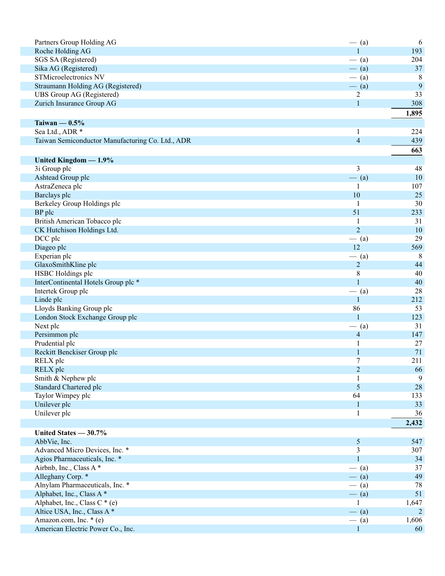| Partners Group Holding AG                        | $-$ (a)        | 6              |
|--------------------------------------------------|----------------|----------------|
| Roche Holding AG                                 | 1              | 193            |
| SGS SA (Registered)                              | $-$ (a)        | 204            |
| Sika AG (Registered)                             | $-$ (a)        | 37             |
| STMicroelectronics NV                            | $-$ (a)        | 8              |
| Straumann Holding AG (Registered)                | $-$ (a)        | 9              |
| UBS Group AG (Registered)                        | $\overline{2}$ | 33             |
| Zurich Insurance Group AG                        | $\mathbf{1}$   | 308            |
|                                                  |                | 1,895          |
| Taiwan $-0.5%$                                   |                |                |
| Sea Ltd., ADR *                                  | $\mathbf{1}$   | 224            |
| Taiwan Semiconductor Manufacturing Co. Ltd., ADR | $\overline{4}$ | 439            |
|                                                  |                | 663            |
| United Kingdom - 1.9%                            |                |                |
| 3i Group plc                                     | 3              | 48             |
| Ashtead Group plc                                | $-$ (a)        | 10             |
| AstraZeneca plc                                  | 1              | 107            |
| Barclays plc                                     | 10             | 25             |
| Berkeley Group Holdings plc                      | 1              | 30             |
| BP plc                                           | 51             | 233            |
| British American Tobacco plc                     | 1              | 31             |
| CK Hutchison Holdings Ltd.                       | $\overline{2}$ | 10             |
| DCC plc                                          | $-$ (a)        | 29             |
| Diageo plc                                       | 12             | 569            |
| Experian plc                                     | $-$ (a)        | 8              |
| GlaxoSmithKline plc                              | $\overline{2}$ | 44             |
| HSBC Holdings plc                                | 8              | 40             |
| InterContinental Hotels Group plc *              | $\mathbf{1}$   | 40             |
| Intertek Group plc                               | $-$ (a)        | 28             |
| Linde plc                                        | $\mathbf{1}$   | 212            |
| Lloyds Banking Group plc                         | 86             | 53             |
| London Stock Exchange Group plc                  | $\mathbf{1}$   | 123            |
| Next plc                                         | $-$ (a)        | 31             |
| Persimmon plc                                    | $\overline{4}$ | 147            |
| Prudential plc                                   | 1              | 27             |
| Reckitt Benckiser Group plc                      | $\mathbf{1}$   | 71             |
| RELX plc                                         | $\tau$         | 211            |
| RELX plc                                         | $\overline{2}$ | 66             |
| Smith & Nephew plc                               | 1              | 9              |
| <b>Standard Chartered plc</b>                    | 5              | 28             |
| Taylor Wimpey plc                                | 64             | 133            |
| Unilever plc                                     | $\mathbf{1}$   | 33             |
| Unilever plc                                     | 1              | 36             |
|                                                  |                | 2,432          |
| United States - 30.7%                            |                |                |
| AbbVie, Inc.                                     | $\mathfrak{S}$ | 547            |
| Advanced Micro Devices, Inc. *                   | 3              | 307            |
| Agios Pharmaceuticals, Inc. *                    | $\mathbf{1}$   | 34             |
| Airbnb, Inc., Class A*                           | $-$ (a)        | 37             |
| Alleghany Corp. *                                | $-$ (a)        | 49             |
| Alnylam Pharmaceuticals, Inc. *                  | $-$ (a)        | 78             |
| Alphabet, Inc., Class A*                         | $-$ (a)        | 51             |
| Alphabet, Inc., Class C $*(e)$                   | 1              | 1,647          |
| Altice USA, Inc., Class A*                       | $-$ (a)        | $\overline{2}$ |
| Amazon.com, Inc. * (e)                           | $-$ (a)        | 1,606          |
| American Electric Power Co., Inc.                | $\mathbf{1}$   | 60             |
|                                                  |                |                |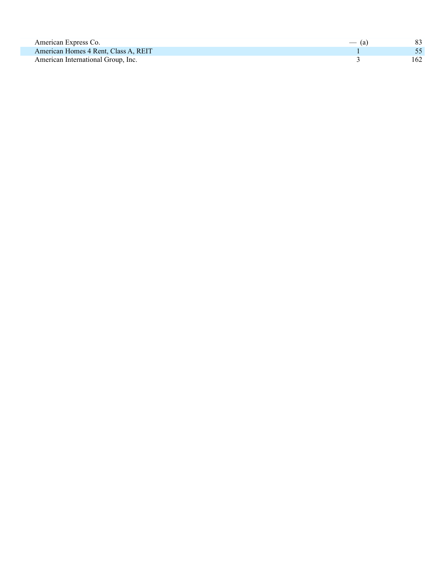| American Express Co.                 | $-$ (a) |      |
|--------------------------------------|---------|------|
| American Homes 4 Rent, Class A, REIT |         |      |
| American International Group, Inc.   |         | 162. |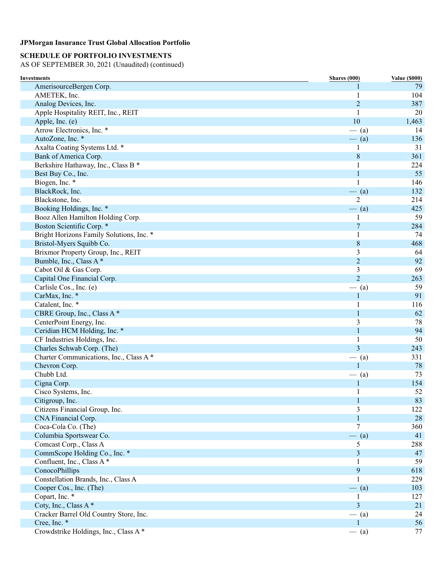## **SCHEDULE OF PORTFOLIO INVESTMENTS**

| Investments                              | Shares (000)   | <b>Value (\$000)</b> |
|------------------------------------------|----------------|----------------------|
| AmerisourceBergen Corp.                  |                | 79                   |
| AMETEK, Inc.                             | 1              | 104                  |
| Analog Devices, Inc.                     | $\overline{2}$ | 387                  |
| Apple Hospitality REIT, Inc., REIT       | 1              | 20                   |
| Apple, Inc. (e)                          | 10             | 1,463                |
| Arrow Electronics, Inc. *                | $-$ (a)        | 14                   |
| AutoZone, Inc. *                         | $-$ (a)        | 136                  |
| Axalta Coating Systems Ltd. *            | 1              | 31                   |
| Bank of America Corp.                    | $\,8\,$        | 361                  |
| Berkshire Hathaway, Inc., Class B *      | 1              | 224                  |
| Best Buy Co., Inc.                       | 1              | 55                   |
| Biogen, Inc. *                           | 1              | 146                  |
| BlackRock, Inc.                          | $-$ (a)        | 132                  |
| Blackstone, Inc.                         | $\overline{2}$ | 214                  |
| Booking Holdings, Inc. *                 | $-$ (a)        | 425                  |
| Booz Allen Hamilton Holding Corp.        | 1              | 59                   |
| Boston Scientific Corp. *                | $\tau$         | 284                  |
| Bright Horizons Family Solutions, Inc. * | 1              | 74                   |
| Bristol-Myers Squibb Co.                 | $\,8\,$        | 468                  |
| Brixmor Property Group, Inc., REIT       | 3              | 64                   |
| Bumble, Inc., Class A*                   | $\overline{2}$ | 92                   |
| Cabot Oil & Gas Corp.                    | 3              | 69                   |
| Capital One Financial Corp.              | $\overline{2}$ | 263                  |
| Carlisle Cos., Inc. (e)                  | $-$ (a)        | 59                   |
| CarMax, Inc. *                           | 1              | 91                   |
| Catalent, Inc. *                         | 1              | 116                  |
| CBRE Group, Inc., Class A*               | 1              | 62                   |
| CenterPoint Energy, Inc.                 | 3              | 78                   |
| Ceridian HCM Holding, Inc. *             | 1              | 94                   |
| CF Industries Holdings, Inc.             | 1              | 50                   |
| Charles Schwab Corp. (The)               | 3              | 243                  |
| Charter Communications, Inc., Class A*   | $-$ (a)        | 331                  |
| Chevron Corp.                            | 1              | 78                   |
| Chubb Ltd.                               | $-$ (a)        | 73                   |
| Cigna Corp.                              | 1              | 154                  |
| Cisco Systems, Inc.                      |                | 52                   |
| Citigroup, Inc.                          | $\mathbf{1}$   | 83                   |
| Citizens Financial Group, Inc.           | 3              | 122                  |
| CNA Financial Corp.                      | $\mathbf{1}$   | 28                   |
| Coca-Cola Co. (The)                      | 7              | 360                  |
| Columbia Sportswear Co.                  | $-$ (a)        | 41                   |
| Comcast Corp., Class A                   | 5              | 288                  |
| CommScope Holding Co., Inc. *            | 3              | 47                   |
| Confluent, Inc., Class A*                | 1              | 59                   |
| ConocoPhillips                           | 9              | 618                  |
| Constellation Brands, Inc., Class A      | 1              | 229                  |
| Cooper Cos., Inc. (The)                  | $-$ (a)        | 103                  |
| Copart, Inc. *                           | 1              | 127                  |
| Coty, Inc., Class A*                     | 3              | 21                   |
| Cracker Barrel Old Country Store, Inc.   | $-$ (a)        | 24                   |
| Cree, Inc. *                             | 1              | 56                   |
| Crowdstrike Holdings, Inc., Class A*     | $-$ (a)        | 77                   |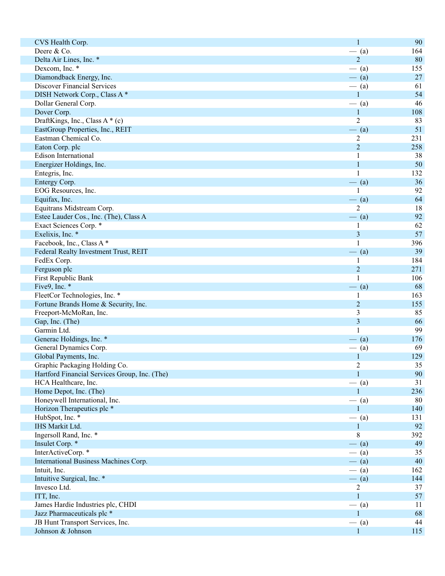| CVS Health Corp.                              | $\mathbf{1}$              | 90  |
|-----------------------------------------------|---------------------------|-----|
| Deere & Co.                                   |                           | 164 |
|                                               | $-$ (a)<br>$\overline{2}$ |     |
| Delta Air Lines, Inc. *                       |                           | 80  |
| Dexcom, Inc. *                                | $-$ (a)                   | 155 |
| Diamondback Energy, Inc.                      | $-$ (a)                   | 27  |
| <b>Discover Financial Services</b>            | $-$ (a)                   | 61  |
| DISH Network Corp., Class A*                  | $\mathbf{1}$              | 54  |
| Dollar General Corp.                          | $-$ (a)                   | 46  |
| Dover Corp.                                   | $\mathbf{1}$              | 108 |
| DraftKings, Inc., Class A * (c)               | $\overline{2}$            | 83  |
| EastGroup Properties, Inc., REIT              | $-$ (a)                   | 51  |
| Eastman Chemical Co.                          | $\overline{2}$            | 231 |
| Eaton Corp. plc                               | $\overline{c}$            | 258 |
| Edison International                          | 1                         | 38  |
| Energizer Holdings, Inc.                      | $\mathbf{1}$              | 50  |
| Entegris, Inc.                                | $\mathbf{1}$              | 132 |
| Entergy Corp.                                 | $-$ (a)                   | 36  |
| EOG Resources, Inc.                           |                           | 92  |
| Equifax, Inc.                                 | $-$ (a)                   | 64  |
| Equitrans Midstream Corp.                     | $\overline{2}$            | 18  |
| Estee Lauder Cos., Inc. (The), Class A        | $-$ (a)                   | 92  |
| Exact Sciences Corp. *                        | 1                         | 62  |
| Exelixis, Inc. *                              | $\overline{\mathbf{3}}$   | 57  |
| Facebook, Inc., Class A*                      | $\mathbf{1}$              | 396 |
| Federal Realty Investment Trust, REIT         | $-$ (a)                   | 39  |
| FedEx Corp.                                   | 1                         | 184 |
| Ferguson plc                                  | $\overline{2}$            | 271 |
| First Republic Bank                           | $\mathbf{1}$              | 106 |
| Five9, Inc. *                                 | $-$ (a)                   | 68  |
| FleetCor Technologies, Inc. *                 | 1                         | 163 |
| Fortune Brands Home & Security, Inc.          | $\overline{2}$            | 155 |
| Freeport-McMoRan, Inc.                        | $\mathfrak{Z}$            | 85  |
| Gap, Inc. (The)                               | $\overline{\mathbf{3}}$   | 66  |
| Garmin Ltd.                                   | $\mathbf{1}$              | 99  |
|                                               |                           | 176 |
| Generac Holdings, Inc. *                      | $-$ (a)                   |     |
| General Dynamics Corp.                        | $-$ (a)                   | 69  |
| Global Payments, Inc.                         | $\mathbf{1}$              | 129 |
| Graphic Packaging Holding Co.                 | $\sqrt{2}$                | 35  |
| Hartford Financial Services Group, Inc. (The) | $\mathbf{1}$              | 90  |
| HCA Healthcare, Inc.                          | $-$ (a)                   | 31  |
| Home Depot, Inc. (The)                        | 1                         | 236 |
| Honeywell International, Inc.                 | $-$ (a)                   | 80  |
| Horizon Therapeutics plc *                    | $\mathbf{1}$              | 140 |
| HubSpot, Inc. *                               | $-$ (a)                   | 131 |
| IHS Markit Ltd.                               | $\mathbf{1}$              | 92  |
| Ingersoll Rand, Inc. *                        | 8                         | 392 |
| Insulet Corp. *                               | $-$ (a)                   | 49  |
| InterActiveCorp.*                             | $-$ (a)                   | 35  |
| International Business Machines Corp.         | $-$ (a)                   | 40  |
| Intuit, Inc.                                  | $-$ (a)                   | 162 |
| Intuitive Surgical, Inc. *                    | $- (a)$                   | 144 |
| Invesco Ltd.                                  | $\overline{2}$            | 37  |
| ITT, Inc.                                     | $\mathbf{1}$              | 57  |
| James Hardie Industries plc, CHDI             | $-$ (a)                   | 11  |
| Jazz Pharmaceuticals plc *                    | $\mathbf{1}$              | 68  |
| JB Hunt Transport Services, Inc.              | $-$ (a)                   | 44  |
| Johnson & Johnson                             | $\mathbf{1}$              | 115 |
|                                               |                           |     |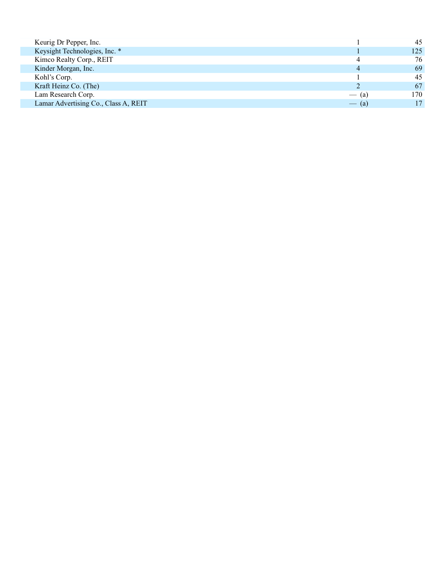| Keurig Dr Pepper, Inc.               |         | 45  |
|--------------------------------------|---------|-----|
| Keysight Technologies, Inc. *        |         | 125 |
| Kimco Realty Corp., REIT             | 4       | 76  |
| Kinder Morgan, Inc.                  | 4       | 69  |
| Kohl's Corp.                         |         | 45  |
| Kraft Heinz Co. (The)                |         | 67  |
| Lam Research Corp.                   | $-$ (a) | 170 |
| Lamar Advertising Co., Class A, REIT | $-$ (a) |     |
|                                      |         |     |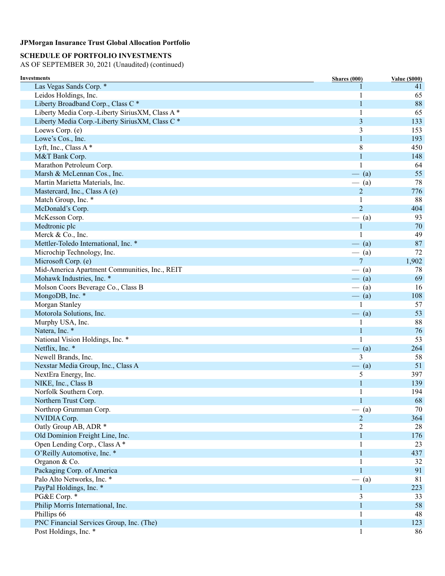## **SCHEDULE OF PORTFOLIO INVESTMENTS**

| <b>Investments</b>                              | Shares (000)   | <b>Value (\$000)</b> |
|-------------------------------------------------|----------------|----------------------|
| Las Vegas Sands Corp. *                         |                | 41                   |
| Leidos Holdings, Inc.                           |                | 65                   |
| Liberty Broadband Corp., Class C*               | 1              | 88                   |
| Liberty Media Corp.-Liberty SiriusXM, Class A * |                | 65                   |
| Liberty Media Corp.-Liberty SiriusXM, Class C * | 3              | 133                  |
| Loews Corp. (e)                                 | 3              | 153                  |
| Lowe's Cos., Inc.                               | 1              | 193                  |
| Lyft, Inc., Class A*                            | 8              | 450                  |
| M&T Bank Corp.                                  | 1              | 148                  |
| Marathon Petroleum Corp.                        |                | 64                   |
| Marsh & McLennan Cos., Inc.                     | $-$ (a)        | 55                   |
| Martin Marietta Materials, Inc.                 | $-$ (a)        | 78                   |
| Mastercard, Inc., Class A (e)                   | $\overline{c}$ | 776                  |
| Match Group, Inc. *                             | 1              | 88                   |
| McDonald's Corp.                                | $\overline{2}$ | 404                  |
| McKesson Corp.                                  | $-$ (a)        | 93                   |
| Medtronic plc                                   | 1              | 70                   |
| Merck & Co., Inc.                               |                | 49                   |
| Mettler-Toledo International, Inc. *            | $-$ (a)        | 87                   |
| Microchip Technology, Inc.                      | $-$ (a)        | 72                   |
| Microsoft Corp. (e)                             | $\overline{7}$ | 1,902                |
| Mid-America Apartment Communities, Inc., REIT   | $-$ (a)        | 78                   |
| Mohawk Industries, Inc. *                       | $-$ (a)        | 69                   |
| Molson Coors Beverage Co., Class B              | $-$ (a)        | 16                   |
| MongoDB, Inc. *                                 | $-$ (a)        | 108                  |
| Morgan Stanley                                  |                | 57                   |
| Motorola Solutions, Inc.                        | $-$ (a)        | 53                   |
| Murphy USA, Inc.                                |                | 88                   |
| Natera, Inc. *                                  | 1              | 76                   |
| National Vision Holdings, Inc. *                |                | 53                   |
| Netflix, Inc. *                                 | $-$ (a)        | 264                  |
| Newell Brands, Inc.                             | 3              | 58                   |
| Nexstar Media Group, Inc., Class A              | $-$ (a)        | 51                   |
| NextEra Energy, Inc.                            | 5              | 397                  |
| NIKE, Inc., Class B                             | 1              | 139                  |
| Norfolk Southern Corp.                          |                | 194                  |
| Northern Trust Corp.                            | $\mathbf{1}$   | 68                   |
| Northrop Grumman Corp.                          | $-$ (a)        | 70                   |
| NVIDIA Corp.                                    | $\overline{c}$ | 364                  |
| Oatly Group AB, ADR *                           | $\overline{c}$ | 28                   |
| Old Dominion Freight Line, Inc.                 | 1              | 176                  |
| Open Lending Corp., Class A *                   |                | 23                   |
| O'Reilly Automotive, Inc. *                     |                | 437                  |
| Organon & Co.                                   |                | 32                   |
| Packaging Corp. of America                      | 1              | 91                   |
| Palo Alto Networks, Inc. *                      | $-$ (a)        | 81                   |
| PayPal Holdings, Inc. *                         | 1              | 223                  |
| PG&E Corp. *                                    | 3              | 33                   |
| Philip Morris International, Inc.               | 1              | 58                   |
| Phillips 66                                     |                | 48                   |
| PNC Financial Services Group, Inc. (The)        | 1              | 123                  |
| Post Holdings, Inc. *                           | $\mathbf{1}$   | 86                   |
|                                                 |                |                      |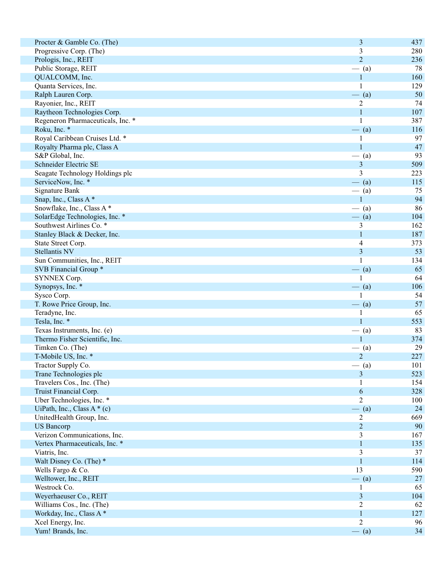| Procter & Gamble Co. (The)        | 3              | 437 |
|-----------------------------------|----------------|-----|
| Progressive Corp. (The)           | 3              | 280 |
| Prologis, Inc., REIT              | $\overline{2}$ | 236 |
| Public Storage, REIT              | $-$ (a)        | 78  |
| QUALCOMM, Inc.                    | 1              | 160 |
| Quanta Services, Inc.             |                | 129 |
| Ralph Lauren Corp.                | $-$ (a)        | 50  |
| Rayonier, Inc., REIT              | $\overline{c}$ | 74  |
| Raytheon Technologies Corp.       | $\mathbf{1}$   | 107 |
| Regeneron Pharmaceuticals, Inc. * | 1              | 387 |
| Roku, Inc. *                      | $-$ (a)        | 116 |
| Royal Caribbean Cruises Ltd. *    |                | 97  |
| Royalty Pharma plc, Class A       |                | 47  |
| S&P Global, Inc.                  | $-$ (a)        | 93  |
| Schneider Electric SE             | 3              | 509 |
| Seagate Technology Holdings plc   | 3              | 223 |
| ServiceNow, Inc. *                | $-$ (a)        | 115 |
| <b>Signature Bank</b>             | $-$ (a)        | 75  |
| Snap, Inc., Class A*              | 1              | 94  |
|                                   |                | 86  |
| Snowflake, Inc., Class A*         | $-$ (a)        |     |
| SolarEdge Technologies, Inc. *    | $- (a)$        | 104 |
| Southwest Airlines Co. *          | 3              | 162 |
| Stanley Black & Decker, Inc.      | 1              | 187 |
| State Street Corp.                | 4              | 373 |
| <b>Stellantis NV</b>              | 3              | 53  |
| Sun Communities, Inc., REIT       |                | 134 |
| SVB Financial Group *             | $-$ (a)        | 65  |
| SYNNEX Corp.                      |                | 64  |
| Synopsys, Inc. *                  | $-$ (a)        | 106 |
| Sysco Corp.                       |                | 54  |
| T. Rowe Price Group, Inc.         | $-$ (a)        | 57  |
| Teradyne, Inc.                    |                | 65  |
| Tesla, Inc. *                     |                | 553 |
| Texas Instruments, Inc. (e)       | $-$ (a)        | 83  |
| Thermo Fisher Scientific, Inc.    |                | 374 |
| Timken Co. (The)                  | (a)            | 29  |
| T-Mobile US, Inc. *               | $\overline{2}$ | 227 |
| Tractor Supply Co.                | $-$ (a)        | 101 |
| Trane Technologies plc            | 3              | 523 |
| Travelers Cos., Inc. (The)        |                | 154 |
| Truist Financial Corp.            | 6              | 328 |
| Uber Technologies, Inc. *         | $\overline{2}$ | 100 |
| UiPath, Inc., Class $A * (c)$     | $-$ (a)        | 24  |
| UnitedHealth Group, Inc.          | $\overline{c}$ | 669 |
| <b>US Bancorp</b>                 | $\overline{c}$ | 90  |
| Verizon Communications, Inc.      | 3              | 167 |
| Vertex Pharmaceuticals, Inc. *    | $\mathbf{1}$   | 135 |
| Viatris, Inc.                     | 3              | 37  |
| Walt Disney Co. (The) *           | $\mathbf{1}$   | 114 |
| Wells Fargo & Co.                 | 13             | 590 |
| Welltower, Inc., REIT             | $-$ (a)        | 27  |
| Westrock Co.                      |                | 65  |
|                                   | 1              |     |
| Weyerhaeuser Co., REIT            | $\mathfrak{Z}$ | 104 |
| Williams Cos., Inc. (The)         | $\overline{c}$ | 62  |
| Workday, Inc., Class A*           | $\mathbf{1}$   | 127 |
| Xcel Energy, Inc.                 | $\overline{c}$ | 96  |
| Yum! Brands, Inc.                 | $-$ (a)        | 34  |
|                                   |                |     |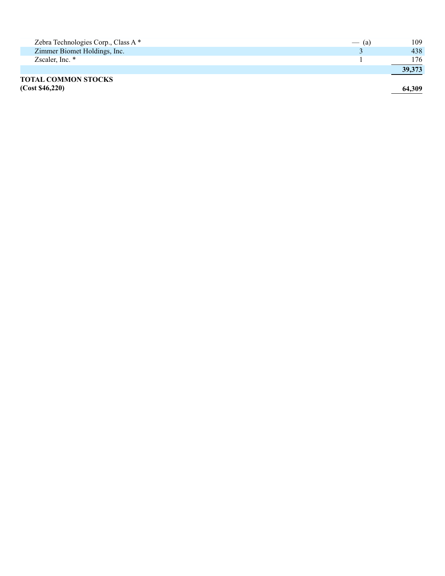| Zebra Technologies Corp., Class A * | $-$ (a) | 109    |
|-------------------------------------|---------|--------|
| Zimmer Biomet Holdings, Inc.        |         | 438    |
| Zscaler, Inc. *                     |         | 176.   |
|                                     |         | 39,373 |
| <b>TOTAL COMMON STOCKS</b>          |         |        |
| (Cost \$46,220)                     |         | 64.309 |

**(Cost \$46,220) 64,309**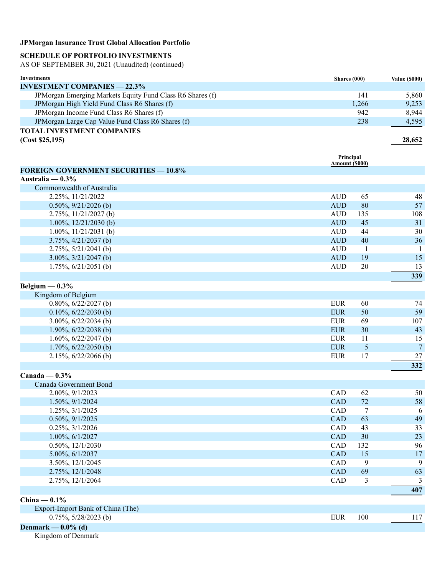## **SCHEDULE OF PORTFOLIO INVESTMENTS**

AS OF SEPTEMBER 30, 2021 (Unaudited) (continued)

| Investments                                                | Shares (000) | <b>Value (\$000)</b> |
|------------------------------------------------------------|--------------|----------------------|
| <b>INVESTMENT COMPANIES — 22.3%</b>                        |              |                      |
| JPM organ Emerging Markets Equity Fund Class R6 Shares (f) | 141          | 5,860                |
| JPM organ High Yield Fund Class R6 Shares (f)              | 1,266        | 9,253                |
| JPM organ Income Fund Class R6 Shares (f)                  | 942          | 8.944                |
| JPM organ Large Cap Value Fund Class R6 Shares (f)         | 238          | 4,595                |
| <b>TOTAL INVESTMENT COMPANIES</b>                          |              |                      |
| (Cost \$25,195)                                            |              | 28.652               |

|                                              | Principal<br>Amount (\$000) |     |                |
|----------------------------------------------|-----------------------------|-----|----------------|
| <b>FOREIGN GOVERNMENT SECURITIES - 10.8%</b> |                             |     |                |
| Australia — $0.3\%$                          |                             |     |                |
| Commonwealth of Australia                    |                             |     |                |
| 2.25%, 11/21/2022                            | <b>AUD</b>                  | 65  | 48             |
| $0.50\%, 9/21/2026$ (b)                      | <b>AUD</b>                  | 80  | 57             |
| $2.75\%, 11/21/2027$ (b)                     | <b>AUD</b>                  | 135 | 108            |
| $1.00\%, 12/21/2030$ (b)                     | <b>AUD</b>                  | 45  | 31             |
| $1.00\%, 11/21/2031$ (b)                     | <b>AUD</b>                  | 44  | 30             |
| $3.75\%, \frac{4}{21/2037}$ (b)              | <b>AUD</b>                  | 40  | 36             |
| $2.75\%, 5/21/2041$ (b)                      | <b>AUD</b>                  | 1   | $\mathbf{1}$   |
| $3.00\%, 3/21/2047$ (b)                      | <b>AUD</b>                  | 19  | 15             |
| 1.75%, 6/21/2051 (b)                         | <b>AUD</b>                  | 20  | 13             |
|                                              |                             |     | 339            |
| Belgium $-0.3\%$                             |                             |     |                |
| Kingdom of Belgium                           |                             |     |                |
| $0.80\%, 6/22/2027$ (b)                      | <b>EUR</b>                  | 60  | 74             |
| $0.10\%, 6/22/2030$ (b)                      | <b>EUR</b>                  | 50  | 59             |
| $3.00\%, 6/22/2034$ (b)                      | <b>EUR</b>                  | 69  | 107            |
| 1.90%, $6/22/2038$ (b)                       | <b>EUR</b>                  | 30  | 43             |
| 1.60%, $6/22/2047$ (b)                       | <b>EUR</b>                  | 11  | 15             |
| $1.70\%, 6/22/2050$ (b)                      | <b>EUR</b>                  | 5   | $\overline{7}$ |
| $2.15\%, 6/22/2066$ (b)                      | <b>EUR</b>                  | 17  | $27\,$         |
|                                              |                             |     | 332            |
| Canada — $0.3\%$                             |                             |     |                |
| Canada Government Bond                       |                             |     |                |
| 2.00%, 9/1/2023                              | CAD                         | 62  | 50             |
| 1.50%, 9/1/2024                              | CAD                         | 72  | 58             |
| 1.25%, 3/1/2025                              | CAD                         | 7   | 6              |

| $0.50\%, 9/1/2025$                | <b>CAD</b> | 63  | 49  |
|-----------------------------------|------------|-----|-----|
| $0.25\%, 3/1/2026$                | <b>CAD</b> | 43  | 33  |
| $1.00\%$ , $6/1/2027$             | <b>CAD</b> | 30  | 23  |
| $0.50\%, 12/1/2030$               | <b>CAD</b> | 132 | 96  |
| $5.00\%, 6/1/2037$                | <b>CAD</b> | 15  | 17  |
| 3.50%, 12/1/2045                  | <b>CAD</b> | 9   | 9   |
| 2.75%, 12/1/2048                  | <b>CAD</b> | 69  | 63  |
| 2.75%, 12/1/2064                  | <b>CAD</b> | 3   | 3   |
|                                   |            |     | 407 |
| China — $0.1\%$                   |            |     |     |
| Export-Import Bank of China (The) |            |     |     |
| $0.75\%$ , 5/28/2023 (b)          | <b>EUR</b> | 100 | 117 |

## **Denmark — 0.0% (d)**

Kingdom of Denmark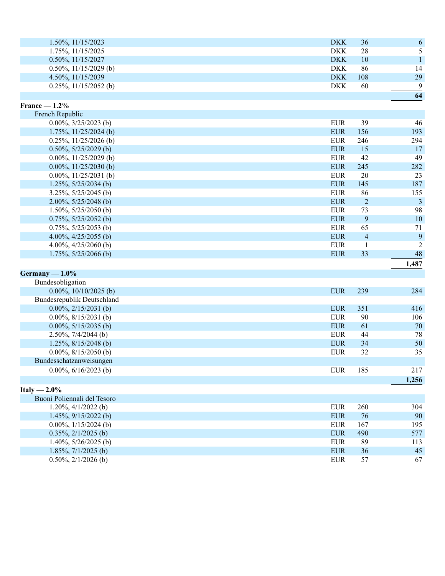| $1.50\%, 11/15/2023$     | <b>DKK</b> | 36  | 6           |
|--------------------------|------------|-----|-------------|
| 1.75%, 11/15/2025        | <b>DKK</b> | 28  |             |
| $0.50\%, 11/15/2027$     | <b>DKK</b> | 10  |             |
| $0.50\%, 11/15/2029$ (b) | <b>DKK</b> | 86  | 14          |
| 4.50%, 11/15/2039        | <b>DKK</b> | 108 | 29          |
| $0.25\%, 11/15/2052$ (b) | DKK        | 60  | $\mathbf Q$ |

**64** 

| France $-1.2\%$           |            |                |       |
|---------------------------|------------|----------------|-------|
| French Republic           |            |                |       |
| $0.00\%, 3/25/2023$ (b)   | <b>EUR</b> | 39             | 46    |
| $1.75\%, 11/25/2024$ (b)  | <b>EUR</b> | 156            | 193   |
| $0.25\%$ , 11/25/2026 (b) | <b>EUR</b> | 246            | 294   |
| $0.50\%, 5/25/2029$ (b)   | <b>EUR</b> | 15             | 17    |
| $0.00\%, 11/25/2029$ (b)  | <b>EUR</b> | 42             | 49    |
| $0.00\%, 11/25/2030$ (b)  | <b>EUR</b> | 245            | 282   |
| $0.00\%, 11/25/2031$ (b)  | <b>EUR</b> | 20             | 23    |
| $1.25\%, 5/25/2034$ (b)   | <b>EUR</b> | 145            | 187   |
| $3.25\%, 5/25/2045$ (b)   | <b>EUR</b> | 86             | 155   |
| 2.00%, $5/25/2048$ (b)    | <b>EUR</b> | 2              | 3     |
| $1.50\%, 5/25/2050$ (b)   | <b>EUR</b> | 73             | 98    |
| $0.75\%, 5/25/2052$ (b)   | <b>EUR</b> | 9              | 10    |
| $0.75\%, 5/25/2053$ (b)   | <b>EUR</b> | 65             | 71    |
| 4.00%, $4/25/2055$ (b)    | <b>EUR</b> | $\overline{4}$ | 9     |
| 4.00%, $4/25/2060$ (b)    | <b>EUR</b> |                | 2     |
| $1.75\%, 5/25/2066$ (b)   | <b>EUR</b> | 33             | 48    |
|                           |            |                | 1,487 |

| Germany $-1.0\%$                  |            |     |       |
|-----------------------------------|------------|-----|-------|
| Bundesobligation                  |            |     |       |
| $0.00\%, 10/10/2025$ (b)          | <b>EUR</b> | 239 | 284   |
| <b>Bundesrepublik Deutschland</b> |            |     |       |
| $0.00\%, 2/15/2031$ (b)           | <b>EUR</b> | 351 | 416   |
| $0.00\%, 8/15/2031$ (b)           | EUR        | 90  | 106   |
| $0.00\%, 5/15/2035$ (b)           | EUR        | 61  | 70    |
| $2.50\%, 7/4/2044$ (b)            | EUR        | 44  | 78    |
| $1.25\%, 8/15/2048$ (b)           | <b>EUR</b> | 34  | 50    |
| $0.00\%, 8/15/2050$ (b)           | EUR        | 32  | 35    |
| Bundesschatzanweisungen           |            |     |       |
| $0.00\%, 6/16/2023$ (b)           | EUR        | 185 | 217   |
|                                   |            |     | 1,256 |

| Italy $-2.0\%$                 |            |     |     |
|--------------------------------|------------|-----|-----|
| Buoni Poliennali del Tesoro    |            |     |     |
| $1.20\%, \frac{4}{1/2022}$ (b) | <b>EUR</b> | 260 | 304 |
| $1.45\%, 9/15/2022$ (b)        | <b>EUR</b> | 76  | 90  |
| 0.00%, $1/15/2024$ (b)         | EUR        | 167 | 195 |
| $0.35\%, 2/1/2025$ (b)         | <b>EUR</b> | 490 | 577 |
| 1.40\%, $5/26/2025$ (b)        | EUR        | 89  | 113 |
| $1.85\%, 7/1/2025$ (b)         | <b>EUR</b> | 36  | 45  |
| $0.50\%, 2/1/2026$ (b)         | <b>EUR</b> | 57  | 67  |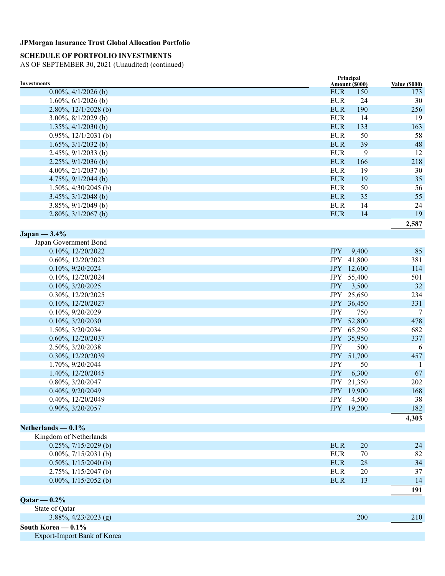## **SCHEDULE OF PORTFOLIO INVESTMENTS**

| Investments                     | Principal<br>Amount (\$000) | <b>Value (\$000)</b> |
|---------------------------------|-----------------------------|----------------------|
| $0.00\%, 4/1/2026$ (b)          | <b>EUR</b><br>150           | 173                  |
| 1.60%, $6/1/2026$ (b)           | <b>EUR</b><br>24            | 30                   |
| 2.80%, $12/1/2028$ (b)          | <b>EUR</b><br>190           | 256                  |
| $3.00\%, 8/1/2029$ (b)          | <b>EUR</b><br>14            | 19                   |
| $1.35\%, \frac{4}{1/2030}$ (b)  | <b>EUR</b><br>133           | 163                  |
| $0.95\%, 12/1/2031$ (b)         | <b>EUR</b><br>50            | 58                   |
| $1.65\%, 3/1/2032$ (b)          | <b>EUR</b><br>39            | 48                   |
| $2.45\%, 9/1/2033$ (b)          | <b>EUR</b><br>9             | 12                   |
| $2.25\%, 9/1/2036$ (b)          | <b>EUR</b><br>166           | 218                  |
| 4.00%, $2/1/2037$ (b)           | <b>EUR</b><br>19            | 30                   |
| 4.75%, $9/1/2044$ (b)           | <b>EUR</b><br>19            | 35                   |
| $1.50\%, \frac{4}{30/2045}$ (b) | <b>EUR</b><br>50            | 56                   |
| $3.45\%, \frac{3}{1/2048}$ (b)  | <b>EUR</b><br>35            | 55                   |
| $3.85\%, 9/1/2049$ (b)          | <b>EUR</b><br>14            | 24                   |
| $2.80\%, \frac{3}{1/2067}$ (b)  | <b>EUR</b><br>14            | 19                   |
|                                 |                             | 2,587                |
| $Japan - 3.4\%$                 |                             |                      |
| Japan Government Bond           |                             |                      |
| 0.10%, 12/20/2022               | <b>JPY</b><br>9,400         | 85                   |
| 0.60%, 12/20/2023               | JPY 41,800                  | 381                  |
| 0.10%, 9/20/2024                | JPY 12,600                  | 114                  |
| 0.10%, 12/20/2024               | JPY 55,400                  | 501                  |
| 0.10%, 3/20/2025                | <b>JPY</b><br>3,500         | 32                   |
| 0.30%, 12/20/2025               | JPY 25,650                  | 234                  |
| 0.10%, 12/20/2027               | JPY 36,450                  | 331                  |
| 0.10%, 9/20/2029                | <b>JPY</b><br>750           | 7                    |
| 0.10%, 3/20/2030                | JPY 52,800                  | 478                  |
| 1.50%, 3/20/2034                | JPY 65,250                  | 682                  |
| 0.60%, 12/20/2037               | JPY 35,950                  | 337                  |
| 2.50%, 3/20/2038                | <b>JPY</b><br>500           | 6                    |
| 0.30%, 12/20/2039               | JPY 51,700                  | 457                  |
| 1.70%, 9/20/2044                | <b>JPY</b><br>50            | -1                   |
| 1.40%, 12/20/2045               | <b>JPY</b><br>6,300         | 67                   |
| 0.80%, 3/20/2047                | JPY 21,350                  | 202                  |
| 0.40%, 9/20/2049                | JPY 19,900                  | 168                  |
| 0.40%, 12/20/2049               | JPY 4,500                   | 38                   |
| 0.90%, 3/20/2057                | JPY 19,200                  | 182                  |
|                                 |                             | 4,303                |
| Netherlands $-0.1\%$            |                             |                      |
| Kingdom of Netherlands          |                             |                      |
| $0.25\%, 7/15/2029$ (b)         | <b>EUR</b><br>20            | 24                   |
| $0.00\%, 7/15/2031$ (b)         | <b>EUR</b><br>70            | 82                   |
| 0.50%, $1/15/2040$ (b)          | <b>EUR</b><br>28            | 34                   |
| $2.75\%, \frac{1}{15/2047}$ (b) | <b>EUR</b><br>20            | 37                   |
| 0.00%, $1/15/2052$ (b)          | <b>EUR</b><br>13            | 14                   |
|                                 |                             | 191                  |
| $Qatar - 0.2%$                  |                             |                      |
| State of Qatar                  |                             |                      |
| $3.88\%, \frac{4}{23}/2023$ (g) | 200                         | 210                  |
| South Korea $-0.1\%$            |                             |                      |
| Export-Import Bank of Korea     |                             |                      |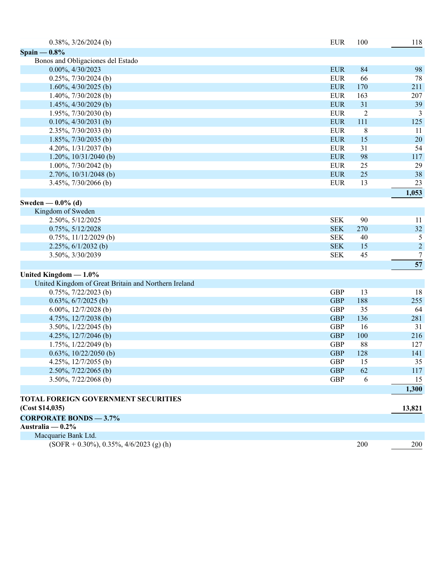| $0.38\%, 3/26/2024$ (b)                              | <b>EUR</b> | 100            | 118              |
|------------------------------------------------------|------------|----------------|------------------|
| Spain $-0.8\%$                                       |            |                |                  |
| Bonos and Obligaciones del Estado                    |            |                |                  |
| 0.00%, 4/30/2023                                     | <b>EUR</b> | 84             | 98               |
| $0.25\%, 7/30/2024$ (b)                              | <b>EUR</b> | 66             | 78               |
| $1.60\%, \frac{4}{30/2025}$ (b)                      | <b>EUR</b> | 170            | 211              |
| 1.40%, $7/30/2028$ (b)                               | <b>EUR</b> | 163            | 207              |
| $1.45\%, \frac{4}{30/2029}$ (b)                      | <b>EUR</b> | 31             | 39               |
| 1.95%, $7/30/2030$ (b)                               | <b>EUR</b> | $\overline{c}$ | 3                |
| $0.10\%, \frac{4}{30/2031}$ (b)                      | <b>EUR</b> | 111            | 125              |
| 2.35%, 7/30/2033 (b)                                 | <b>EUR</b> | $\,8\,$        | 11               |
| $1.85\%, 7/30/2035$ (b)                              | <b>EUR</b> | 15             | 20               |
| 4.20%, $1/31/2037$ (b)                               | <b>EUR</b> | 31             | 54               |
| 1.20%, $10/31/2040$ (b)                              | <b>EUR</b> | 98             | 117              |
| 1.00%, $7/30/2042$ (b)                               | <b>EUR</b> | 25             | 29               |
| $2.70\%, 10/31/2048$ (b)                             | <b>EUR</b> | 25             | 38               |
| $3.45\%, 7/30/2066$ (b)                              | <b>EUR</b> | 13             | 23               |
|                                                      |            |                | 1,053            |
| Sweden — $0.0\%$ (d)                                 |            |                |                  |
| Kingdom of Sweden                                    |            |                |                  |
| 2.50%, 5/12/2025                                     | <b>SEK</b> | 90             | 11               |
| 0.75%, 5/12/2028                                     | <b>SEK</b> | 270            | 32               |
| 0.75%, 11/12/2029 (b)                                | <b>SEK</b> | 40             | 5                |
| $2.25\%, 6/1/2032$ (b)                               | <b>SEK</b> | 15             | $\boldsymbol{2}$ |
| 3.50%, 3/30/2039                                     | <b>SEK</b> | 45             | $\tau$           |
|                                                      |            |                | 57               |
| United Kingdom $-1.0\%$                              |            |                |                  |
| United Kingdom of Great Britain and Northern Ireland |            |                |                  |
| $0.75\%, 7/22/2023$ (b)                              | <b>GBP</b> | 13             | 18               |
| $0.63\%, 6/7/2025$ (b)                               | <b>GBP</b> | 188            | 255              |
| 6.00%, $12/7/2028$ (b)                               | <b>GBP</b> | 35             | 64               |
| 4.75%, 12/7/2038 (b)                                 | <b>GBP</b> | 136            | 281              |
| 3.50%, $1/22/2045$ (b)                               | <b>GBP</b> | 16             | 31               |
| 4.25%, 12/7/2046 (b)                                 | <b>GBP</b> | 100            | 216              |
| $1.75\%, 1/22/2049$ (b)                              | <b>GBP</b> | 88             | 127              |
| $0.63\%, 10/22/2050$ (b)                             | <b>GBP</b> | 128            | 141              |
| 4.25%, 12/7/2055 (b)                                 | <b>GBP</b> | 15             | 35               |
| $2.50\%, 7/22/2065$ (b)                              | <b>GBP</b> | 62             | 117              |
| 3.50%, $7/22/2068$ (b)                               | <b>GBP</b> | 6              | 15               |
|                                                      |            |                | 1,300            |
| <b>TOTAL FOREIGN GOVERNMENT SECURITIES</b>           |            |                |                  |
| (Cost \$14,035)                                      |            |                | 13,821           |
| <b>CORPORATE BONDS - 3.7%</b>                        |            |                |                  |
| Australia $-0.2\%$                                   |            |                |                  |
| Macquarie Bank Ltd.                                  |            |                |                  |
| $(SOFR + 0.30\%), 0.35\%, 4/6/2023$ (g) (h)          |            | 200            | 200              |
|                                                      |            |                |                  |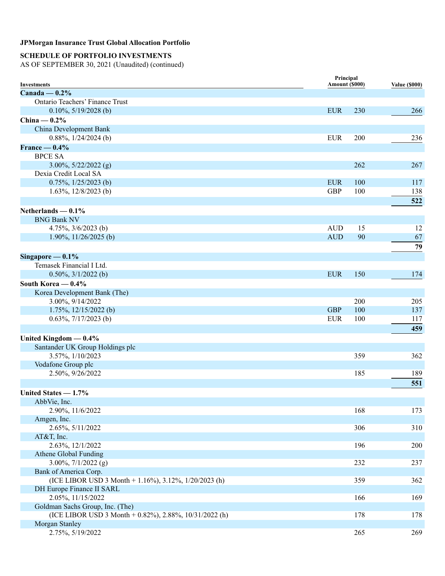## **SCHEDULE OF PORTFOLIO INVESTMENTS**

| <b>Investments</b>                                     | Principal<br>Amount (\$000) |     | <b>Value (\$000)</b> |
|--------------------------------------------------------|-----------------------------|-----|----------------------|
| Canada — $0.2\%$                                       |                             |     |                      |
| <b>Ontario Teachers' Finance Trust</b>                 |                             |     |                      |
| $0.10\%, 5/19/2028$ (b)                                | <b>EUR</b>                  | 230 | 266                  |
| China $-0.2%$                                          |                             |     |                      |
| China Development Bank                                 |                             |     |                      |
| $0.88\%, 1/24/2024$ (b)                                | <b>EUR</b>                  | 200 | 236                  |
| France $-0.4\%$                                        |                             |     |                      |
| <b>BPCE SA</b>                                         |                             |     |                      |
| $3.00\%, 5/22/2022$ (g)                                |                             | 262 | 267                  |
| Dexia Credit Local SA                                  |                             |     |                      |
| $0.75\%, 1/25/2023$ (b)                                | <b>EUR</b>                  | 100 | 117                  |
| 1.63%, $12/8/2023$ (b)                                 | <b>GBP</b>                  | 100 | 138                  |
|                                                        |                             |     | 522                  |
|                                                        |                             |     |                      |
| Netherlands $-0.1%$<br><b>BNG Bank NV</b>              |                             |     |                      |
| 4.75%, $3/6/2023$ (b)                                  | <b>AUD</b>                  | 15  | 12                   |
| 1.90%, $11/26/2025$ (b)                                | <b>AUD</b>                  | 90  | 67                   |
|                                                        |                             |     |                      |
|                                                        |                             |     | 79                   |
| Singapore $-0.1\%$                                     |                             |     |                      |
| Temasek Financial I Ltd.                               |                             |     |                      |
| $0.50\%, 3/1/2022$ (b)                                 | <b>EUR</b>                  | 150 | 174                  |
| South Korea $-0.4\%$                                   |                             |     |                      |
| Korea Development Bank (The)                           |                             |     |                      |
| 3.00%, 9/14/2022                                       |                             | 200 | 205                  |
| $1.75\%, 12/15/2022$ (b)                               | <b>GBP</b>                  | 100 | 137                  |
| $0.63\%, \frac{7}{17/2023}$ (b)                        | <b>EUR</b>                  | 100 | 117                  |
|                                                        |                             |     | 459                  |
| United Kingdom $-0.4%$                                 |                             |     |                      |
| Santander UK Group Holdings plc                        |                             |     |                      |
| 3.57%, 1/10/2023                                       |                             | 359 | 362                  |
| Vodafone Group plc                                     |                             |     |                      |
| 2.50%, 9/26/2022                                       |                             | 185 | 189                  |
|                                                        |                             |     | 551                  |
| United States $-1.7\%$                                 |                             |     |                      |
| AbbVie, Inc.                                           |                             |     |                      |
| 2.90%, 11/6/2022                                       |                             | 168 | 173                  |
| Amgen, Inc.                                            |                             |     |                      |
| 2.65%, 5/11/2022                                       |                             | 306 | 310                  |
| AT&T, Inc.                                             |                             |     |                      |
| 2.63%, 12/1/2022                                       |                             | 196 | 200                  |
| Athene Global Funding                                  |                             |     |                      |
| $3.00\%, 7/1/2022$ (g)                                 |                             | 232 | 237                  |
| Bank of America Corp.                                  |                             |     |                      |
| (ICE LIBOR USD 3 Month + 1.16%), 3.12%, 1/20/2023 (h)  |                             | 359 | 362                  |
| DH Europe Finance II SARL                              |                             |     |                      |
| 2.05%, 11/15/2022                                      |                             | 166 | 169                  |
| Goldman Sachs Group, Inc. (The)                        |                             |     |                      |
| (ICE LIBOR USD 3 Month + 0.82%), 2.88%, 10/31/2022 (h) |                             | 178 | 178                  |
| Morgan Stanley                                         |                             |     |                      |
| 2.75%, 5/19/2022                                       |                             | 265 | 269                  |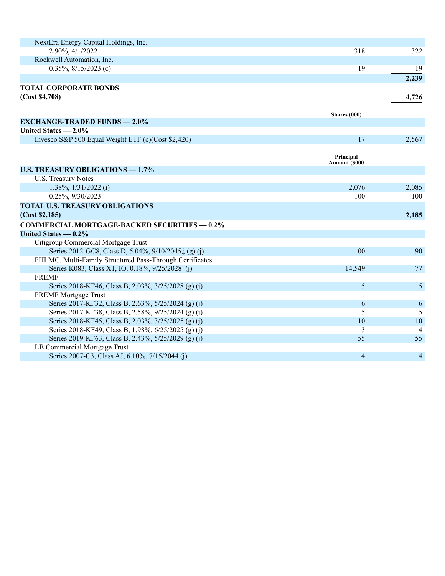| NextEra Energy Capital Holdings, Inc.                    |                      |       |
|----------------------------------------------------------|----------------------|-------|
| 2.90%, 4/1/2022                                          | 318                  | 322   |
| Rockwell Automation, Inc.                                |                      |       |
| $0.35\%, 8/15/2023$ (c)                                  | 19                   | 19    |
|                                                          |                      | 2,239 |
| <b>TOTAL CORPORATE BONDS</b>                             |                      |       |
| (Cost \$4,708)                                           |                      | 4,726 |
|                                                          |                      |       |
|                                                          | Shares $(000)$       |       |
| <b>EXCHANGE-TRADED FUNDS - 2.0%</b>                      |                      |       |
| United States $-2.0\%$                                   |                      |       |
| Invesco S&P 500 Equal Weight ETF (c)(Cost \$2,420)       | 17                   | 2,567 |
|                                                          |                      |       |
|                                                          | Principal            |       |
| <b>U.S. TREASURY OBLIGATIONS - 1.7%</b>                  | <b>Amount (\$000</b> |       |
| U.S. Treasury Notes                                      |                      |       |
| 1.38%, 1/31/2022 (i)                                     | 2,076                | 2,085 |
| 0.25%, 9/30/2023                                         | 100                  | 100   |
| <b>TOTAL U.S. TREASURY OBLIGATIONS</b>                   |                      |       |
| (Cost \$2,185)                                           |                      | 2,185 |
| <b>COMMERCIAL MORTGAGE-BACKED SECURITIES - 0.2%</b>      |                      |       |
| United States $-0.2\%$                                   |                      |       |
| Citigroup Commercial Mortgage Trust                      |                      |       |
| Series 2012-GC8, Class D, 5.04%, 9/10/2045‡ (g) (j)      | 100                  | 90    |
| FHLMC, Multi-Family Structured Pass-Through Certificates |                      |       |
| Series K083, Class X1, IO, 0.18%, 9/25/2028 (j)          | 14,549               | 77    |
| <b>FREMF</b>                                             |                      |       |
| Series 2018-KF46, Class B, 2.03%, 3/25/2028 (g) (j)      | 5                    | 5     |
| <b>FREMF</b> Mortgage Trust                              |                      |       |
| Series 2017-KF32, Class B, 2.63%, 5/25/2024 (g) (j)      | 6                    | 6     |
| Series 2017-KF38, Class B, 2.58%, 9/25/2024 (g) (j)      | 5                    | 5     |
| Series 2018-KF45, Class B, 2.03%, 3/25/2025 (g) (j)      | 10                   | 10    |
| Series 2018-KF49, Class B, 1.98%, 6/25/2025 (g) (j)      | 3                    | 4     |
| Series 2019-KF63, Class B, 2.43%, 5/25/2029 (g) (j)      | 55                   | 55    |
| LB Commercial Mortgage Trust                             |                      |       |
| Series 2007-C3, Class AJ, 6.10%, 7/15/2044 (j)           | $\overline{4}$       | 4     |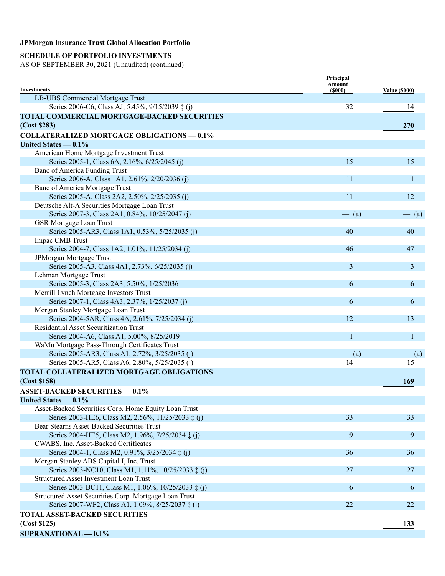## **SCHEDULE OF PORTFOLIO INVESTMENTS**

|                                                       | Principal<br>Amount |                      |
|-------------------------------------------------------|---------------------|----------------------|
| <b>Investments</b>                                    | (5000)              | <b>Value (\$000)</b> |
| LB-UBS Commercial Mortgage Trust                      |                     |                      |
| Series 2006-C6, Class AJ, 5.45%, 9/15/2039 ‡ (j)      | 32                  | 14                   |
| TOTAL COMMERCIAL MORTGAGE-BACKED SECURITIES           |                     |                      |
| (Cost \$283)                                          |                     | <b>270</b>           |
| <b>COLLATERALIZED MORTGAGE OBLIGATIONS - 0.1%</b>     |                     |                      |
| United States $-0.1\%$                                |                     |                      |
| American Home Mortgage Investment Trust               |                     |                      |
| Series 2005-1, Class 6A, 2.16%, 6/25/2045 (j)         | 15                  | 15                   |
| Banc of America Funding Trust                         |                     |                      |
| Series 2006-A, Class 1A1, 2.61%, 2/20/2036 (j)        | 11                  | 11                   |
| Banc of America Mortgage Trust                        |                     |                      |
| Series 2005-A, Class 2A2, 2.50%, 2/25/2035 (j)        | 11                  | 12                   |
| Deutsche Alt-A Securities Mortgage Loan Trust         |                     |                      |
| Series 2007-3, Class 2A1, 0.84%, 10/25/2047 (j)       | $-$ (a)             | $-$ (a)              |
| <b>GSR Mortgage Loan Trust</b>                        |                     |                      |
| Series 2005-AR3, Class 1A1, 0.53%, 5/25/2035 (j)      | 40                  | 40                   |
| Impac CMB Trust                                       |                     |                      |
| Series 2004-7, Class 1A2, 1.01%, 11/25/2034 (j)       | 46                  | 47                   |
| JPMorgan Mortgage Trust                               |                     |                      |
| Series 2005-A3, Class 4A1, 2.73%, 6/25/2035 (j)       | 3                   | 3                    |
| Lehman Mortgage Trust                                 |                     |                      |
| Series 2005-3, Class 2A3, 5.50%, 1/25/2036            | 6                   | 6                    |
| Merrill Lynch Mortgage Investors Trust                |                     |                      |
| Series 2007-1, Class 4A3, 2.37%, 1/25/2037 (j)        | 6                   | 6                    |
| Morgan Stanley Mortgage Loan Trust                    |                     |                      |
| Series 2004-5AR, Class 4A, 2.61%, 7/25/2034 (j)       | 12                  | 13                   |
| <b>Residential Asset Securitization Trust</b>         |                     |                      |
| Series 2004-A6, Class A1, 5.00%, 8/25/2019            | $\mathbf{1}$        | $\mathbf{1}$         |
| WaMu Mortgage Pass-Through Certificates Trust         |                     |                      |
| Series 2005-AR3, Class A1, 2.72%, 3/25/2035 (j)       | $-$ (a)             | $-$ (a)              |
| Series 2005-AR5, Class A6, 2.80%, 5/25/2035 (j)       | 14                  | 15                   |
| <b>TOTAL COLLATERALIZED MORTGAGE OBLIGATIONS</b>      |                     |                      |
| (Cost \$158)                                          |                     | 169                  |
| <b>ASSET-BACKED SECURITIES - 0.1%</b>                 |                     |                      |
| United States $-0.1\%$                                |                     |                      |
| Asset-Backed Securities Corp. Home Equity Loan Trust  |                     |                      |
| Series 2003-HE6, Class M2, 2.56%, 11/25/2033 ‡ (j)    | 33                  | 33                   |
| Bear Stearns Asset-Backed Securities Trust            |                     |                      |
| Series 2004-HE5, Class M2, 1.96%, 7/25/2034 ‡ (j)     | 9                   | 9                    |
| CWABS, Inc. Asset-Backed Certificates                 |                     |                      |
| Series 2004-1, Class M2, 0.91%, 3/25/2034 ‡ (j)       | 36                  | 36                   |
| Morgan Stanley ABS Capital I, Inc. Trust              |                     |                      |
| Series 2003-NC10, Class M1, 1.11%, 10/25/2033 ‡ (j)   | 27                  | 27                   |
| <b>Structured Asset Investment Loan Trust</b>         |                     |                      |
| Series 2003-BC11, Class M1, 1.06%, 10/25/2033 ‡ (j)   | 6                   | 6                    |
| Structured Asset Securities Corp. Mortgage Loan Trust |                     |                      |
| Series 2007-WF2, Class A1, 1.09%, 8/25/2037 ‡ (j)     | 22                  | 22                   |
| <b>TOTAL ASSET-BACKED SECURITIES</b>                  |                     |                      |
|                                                       |                     |                      |
| (Cost \$125)                                          |                     | 133                  |
| <b>SUPRANATIONAL - 0.1%</b>                           |                     |                      |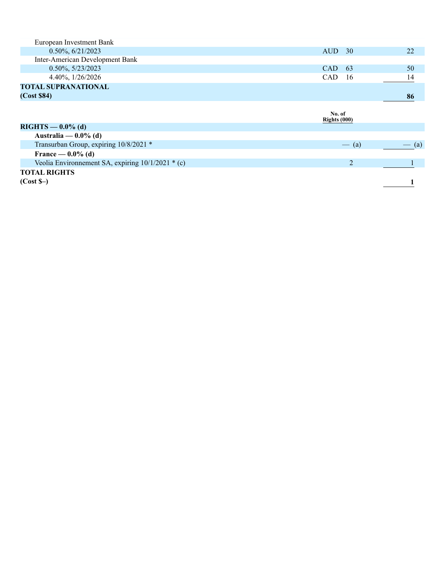| European Investment Bank                            |                  |                   |
|-----------------------------------------------------|------------------|-------------------|
| $0.50\%, 6/21/2023$                                 | <b>AUD</b><br>30 | 22                |
| Inter-American Development Bank                     |                  |                   |
| $0.50\%, 5/23/2023$                                 | CAD<br>-63       | 50                |
| 4.40%, $1/26/2026$                                  | CAD<br>- 16      | 14                |
| <b>TOTAL SUPRANATIONAL</b>                          |                  |                   |
| (Cost \$84)                                         |                  | 86                |
|                                                     |                  |                   |
|                                                     | No. of           |                   |
|                                                     | Rights $(000)$   |                   |
| $RIGHTS - 0.0\%$ (d)                                |                  |                   |
| Australia — $0.0\%$ (d)                             |                  |                   |
| Transurban Group, expiring 10/8/2021 *              | $-$ (a)          | $\left( a\right)$ |
| France — $0.0\%$ (d)                                |                  |                   |
| Veolia Environmement SA, expiring $10/1/2021$ * (c) | 2                |                   |
| <b>TOTAL RIGHTS</b>                                 |                  |                   |
| $(Cost S-)$                                         |                  |                   |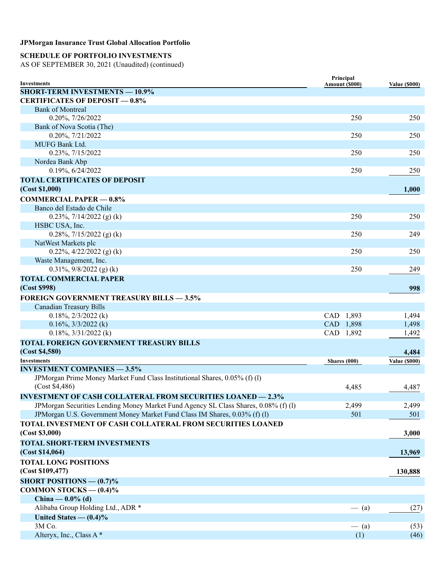## **SCHEDULE OF PORTFOLIO INVESTMENTS**

| <b>Investments</b>                                                                  | Principal<br>Amount (\$000) | <b>Value (\$000)</b> |
|-------------------------------------------------------------------------------------|-----------------------------|----------------------|
| <b>SHORT-TERM INVESTMENTS - 10.9%</b>                                               |                             |                      |
| <b>CERTIFICATES OF DEPOSIT - 0.8%</b>                                               |                             |                      |
| <b>Bank of Montreal</b>                                                             |                             |                      |
| 0.20%, 7/26/2022                                                                    | 250                         | 250                  |
| Bank of Nova Scotia (The)                                                           |                             |                      |
| 0.20%, 7/21/2022                                                                    | 250                         | 250                  |
| <b>MUFG Bank Ltd.</b>                                                               |                             |                      |
| 0.23%, 7/15/2022                                                                    | 250                         | 250                  |
| Nordea Bank Abp                                                                     |                             |                      |
| 0.19%, 6/24/2022                                                                    | 250                         | 250                  |
| <b>TOTAL CERTIFICATES OF DEPOSIT</b>                                                |                             |                      |
| (Cost \$1,000)                                                                      |                             | 1,000                |
| <b>COMMERCIAL PAPER - 0.8%</b>                                                      |                             |                      |
| Banco del Estado de Chile                                                           |                             |                      |
| 0.23%, $7/14/2022$ (g) (k)                                                          | 250                         | 250                  |
| HSBC USA, Inc.                                                                      |                             |                      |
| 0.28%, $7/15/2022$ (g) (k)                                                          | 250                         | 249                  |
| NatWest Markets plc                                                                 |                             |                      |
| 0.22%, $4/22/2022$ (g) (k)                                                          | 250                         | 250                  |
| Waste Management, Inc.                                                              |                             |                      |
| $0.31\%, 9/8/2022$ (g) (k)                                                          | 250                         | 249                  |
|                                                                                     |                             |                      |
| <b>TOTAL COMMERCIAL PAPER</b>                                                       |                             |                      |
| (Cost \$998)                                                                        |                             | 998                  |
| <b>FOREIGN GOVERNMENT TREASURY BILLS - 3.5%</b>                                     |                             |                      |
| <b>Canadian Treasury Bills</b>                                                      |                             |                      |
| $0.18\%, 2/3/2022$ (k)                                                              | CAD 1,893                   | 1,494                |
| $0.16\%, \frac{3}{3}2022$ (k)                                                       | CAD 1,898                   | 1,498                |
| $0.18\%, 3/31/2022$ (k)                                                             | CAD 1,892                   | 1,492                |
| <b>TOTAL FOREIGN GOVERNMENT TREASURY BILLS</b>                                      |                             |                      |
| (Cost \$4,580)                                                                      |                             | 4,484                |
| <b>Investments</b>                                                                  | Shares $(000)$              | <b>Value (\$000)</b> |
| <b>INVESTMENT COMPANIES - 3.5%</b>                                                  |                             |                      |
| JPMorgan Prime Money Market Fund Class Institutional Shares, 0.05% (f) (l)          |                             |                      |
| (Cost \$4,486)                                                                      | 4,485                       | 4,487                |
| <b>INVESTMENT OF CASH COLLATERAL FROM SECURITIES LOANED - 2.3%</b>                  |                             |                      |
| JPMorgan Securities Lending Money Market Fund Agency SL Class Shares, 0.08% (f) (l) | 2,499                       | 2,499                |
| JPMorgan U.S. Government Money Market Fund Class IM Shares, 0.03% (f) (l)           | 501                         | 501                  |
| TOTAL INVESTMENT OF CASH COLLATERAL FROM SECURITIES LOANED                          |                             |                      |
| (Cost \$3,000)                                                                      |                             | 3,000                |
| <b>TOTAL SHORT-TERM INVESTMENTS</b>                                                 |                             |                      |
| (Cost \$14,064)                                                                     |                             | 13,969               |
| <b>TOTAL LONG POSITIONS</b>                                                         |                             |                      |
| (Cost \$109,477)                                                                    |                             | 130,888              |
|                                                                                     |                             |                      |
| <b>SHORT POSITIONS — <math>(0.7)\%</math></b>                                       |                             |                      |
| COMMON STOCKS $-$ (0.4)%                                                            |                             |                      |
| China — $0.0\%$ (d)                                                                 |                             |                      |
| Alibaba Group Holding Ltd., ADR *                                                   | $-$ (a)                     | (27)                 |
| United States $- (0.4)\%$                                                           |                             |                      |
| 3M Co.                                                                              | $-$ (a)                     | (53)                 |
| Alteryx, Inc., Class A*                                                             | (1)                         | (46)                 |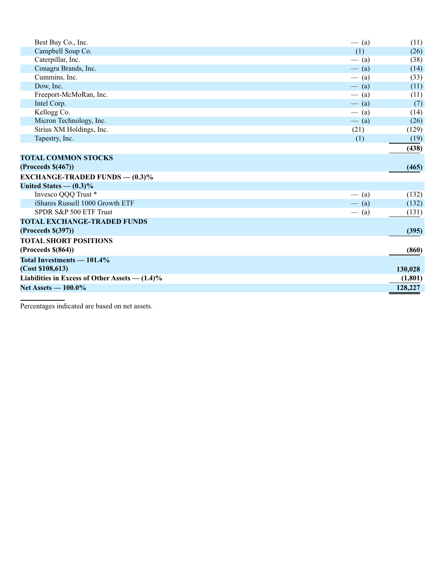| Best Buy Co., Inc.                                  | $-$ (a) | (11)    |
|-----------------------------------------------------|---------|---------|
| Campbell Soup Co.                                   | (1)     | (26)    |
| Caterpillar, Inc.                                   | $-$ (a) | (38)    |
| Conagra Brands, Inc.                                | $-$ (a) | (14)    |
| Cummins, Inc.                                       | $-$ (a) | (33)    |
| Dow, Inc.                                           | $-$ (a) | (11)    |
| Freeport-McMoRan, Inc.                              | $-$ (a) | (11)    |
| Intel Corp.                                         | $-$ (a) | (7)     |
| Kellogg Co.                                         | $-$ (a) | (14)    |
| Micron Technology, Inc.                             | $-$ (a) | (26)    |
| Sirius XM Holdings, Inc.                            | (21)    | (129)   |
| Tapestry, Inc.                                      | (1)     | (19)    |
|                                                     |         | (438)   |
| <b>TOTAL COMMON STOCKS</b>                          |         |         |
| (Process \$(467))                                   |         | (465)   |
| <b>EXCHANGE-TRADED FUNDS — <math>(0.3)\%</math></b> |         |         |
| United States $- (0.3)\%$                           |         |         |
| Invesco QQQ Trust *                                 | $-$ (a) | (132)   |
| iShares Russell 1000 Growth ETF                     | $-$ (a) | (132)   |
| SPDR S&P 500 ETF Trust                              | $-$ (a) | (131)   |
| <b>TOTAL EXCHANGE-TRADED FUNDS</b>                  |         |         |
| (Process \$(397))                                   |         | (395)   |
| <b>TOTAL SHORT POSITIONS</b>                        |         |         |
| (Process \$(864))                                   |         | (860)   |
| Total Investments — 101.4%                          |         |         |
| (Cost \$108, 613)                                   |         | 130,028 |
| Liabilities in Excess of Other Assets $- (1.4)\%$   |         | (1,801) |
| Net Assets - 100.0%                                 |         | 128,227 |
|                                                     |         |         |

Percentages indicated are based on net assets.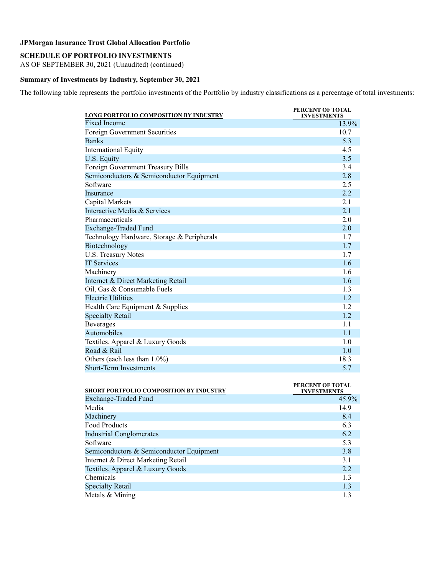## **SCHEDULE OF PORTFOLIO INVESTMENTS**

AS OF SEPTEMBER 30, 2021 (Unaudited) (continued)

#### **Summary of Investments by Industry, September 30, 2021**

The following table represents the portfolio investments of the Portfolio by industry classifications as a percentage of total investments:

| LONG PORTFOLIO COMPOSITION BY INDUSTRY     | PERCENT OF TOTAL<br><b>INVESTMENTS</b> |
|--------------------------------------------|----------------------------------------|
| <b>Fixed Income</b>                        | 13.9%                                  |
| <b>Foreign Government Securities</b>       | 10.7                                   |
| <b>Banks</b>                               | 5.3                                    |
| <b>International Equity</b>                | 4.5                                    |
| U.S. Equity                                | 3.5                                    |
| Foreign Government Treasury Bills          | 3.4                                    |
| Semiconductors & Semiconductor Equipment   | 2.8                                    |
| Software                                   | 2.5                                    |
| Insurance                                  | 2.2                                    |
| Capital Markets                            | 2.1                                    |
| Interactive Media & Services               | 2.1                                    |
| Pharmaceuticals                            | 2.0                                    |
| <b>Exchange-Traded Fund</b>                | 2.0                                    |
| Technology Hardware, Storage & Peripherals | 1.7                                    |
| Biotechnology                              | 1.7                                    |
| <b>U.S. Treasury Notes</b>                 | 1.7                                    |
| <b>IT Services</b>                         | 1.6                                    |
| Machinery                                  | 1.6                                    |
| Internet & Direct Marketing Retail         | 1.6                                    |
| Oil, Gas & Consumable Fuels                | 1.3                                    |
| <b>Electric Utilities</b>                  | 1.2                                    |
| Health Care Equipment & Supplies           | 1.2                                    |
| <b>Specialty Retail</b>                    | 1.2                                    |
| <b>Beverages</b>                           | 1.1                                    |
| Automobiles                                | 1.1                                    |
| Textiles, Apparel & Luxury Goods           | 1.0                                    |
| Road & Rail                                | 1.0                                    |
| Others (each less than 1.0%)               | 18.3                                   |
| <b>Short-Term Investments</b>              | 5.7                                    |

| <b>SHORT PORTFOLIO COMPOSITION BY INDUSTRY</b> | PERCENT OF TOTAL<br><b>INVESTMENTS</b> |
|------------------------------------------------|----------------------------------------|
| Exchange-Traded Fund                           | $45.9\%$                               |
| Media                                          | 14.9                                   |
| Machinery                                      | 8.4                                    |
| <b>Food Products</b>                           | 6.3                                    |
| <b>Industrial Conglomerates</b>                | 6.2                                    |
| Software                                       | 5.3                                    |
| Semiconductors & Semiconductor Equipment       | 3.8                                    |
| Internet & Direct Marketing Retail             | 3.1                                    |
| Textiles, Apparel & Luxury Goods               | 2.2                                    |
| Chemicals                                      | 1.3                                    |
| <b>Specialty Retail</b>                        | 1.3                                    |
| Metals & Mining                                | 1.3                                    |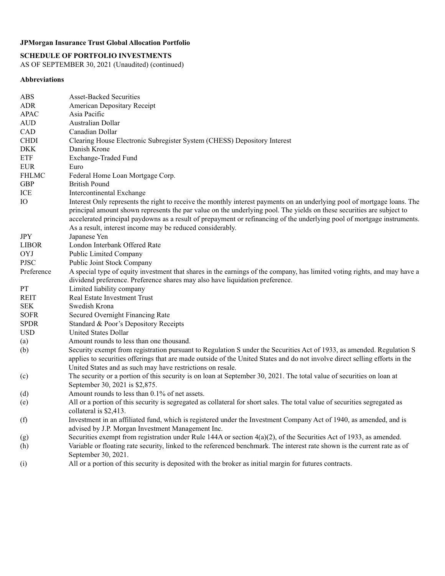## **SCHEDULE OF PORTFOLIO INVESTMENTS**

AS OF SEPTEMBER 30, 2021 (Unaudited) (continued)

### **Abbreviations**

| <b>ABS</b>   | Asset-Backed Securities                                                                                                     |
|--------------|-----------------------------------------------------------------------------------------------------------------------------|
| <b>ADR</b>   | <b>American Depositary Receipt</b>                                                                                          |
| <b>APAC</b>  | Asia Pacific                                                                                                                |
| <b>AUD</b>   | Australian Dollar                                                                                                           |
| CAD          | Canadian Dollar                                                                                                             |
| <b>CHDI</b>  | Clearing House Electronic Subregister System (CHESS) Depository Interest                                                    |
| <b>DKK</b>   | Danish Krone                                                                                                                |
| <b>ETF</b>   | Exchange-Traded Fund                                                                                                        |
| <b>EUR</b>   | Euro                                                                                                                        |
| <b>FHLMC</b> | Federal Home Loan Mortgage Corp.                                                                                            |
| <b>GBP</b>   | <b>British Pound</b>                                                                                                        |
| ICE          | Intercontinental Exchange                                                                                                   |
| IO           | Interest Only represents the right to receive the monthly interest payments on an underlying pool of mortgage loans. The    |
|              | principal amount shown represents the par value on the underlying pool. The yields on these securities are subject to       |
|              | accelerated principal paydowns as a result of prepayment or refinancing of the underlying pool of mortgage instruments.     |
|              | As a result, interest income may be reduced considerably.                                                                   |
| <b>JPY</b>   | Japanese Yen                                                                                                                |
| <b>LIBOR</b> | London Interbank Offered Rate                                                                                               |
| <b>OYJ</b>   | Public Limited Company                                                                                                      |
| <b>PJSC</b>  | Public Joint Stock Company                                                                                                  |
| Preference   | A special type of equity investment that shares in the earnings of the company, has limited voting rights, and may have a   |
|              | dividend preference. Preference shares may also have liquidation preference.                                                |
| PT           | Limited liability company                                                                                                   |
| <b>REIT</b>  | Real Estate Investment Trust                                                                                                |
| <b>SEK</b>   | Swedish Krona                                                                                                               |
| <b>SOFR</b>  | Secured Overnight Financing Rate                                                                                            |
| <b>SPDR</b>  | Standard & Poor's Depository Receipts                                                                                       |
| <b>USD</b>   | <b>United States Dollar</b>                                                                                                 |
| (a)          | Amount rounds to less than one thousand.                                                                                    |
| (b)          | Security exempt from registration pursuant to Regulation S under the Securities Act of 1933, as amended. Regulation S       |
|              | applies to securities offerings that are made outside of the United States and do not involve direct selling efforts in the |
|              | United States and as such may have restrictions on resale.                                                                  |
| (c)          | The security or a portion of this security is on loan at September 30, 2021. The total value of securities on loan at       |
|              | September 30, 2021 is \$2,875.                                                                                              |
| (d)          | Amount rounds to less than 0.1% of net assets.                                                                              |
| (e)          | All or a portion of this security is segregated as collateral for short sales. The total value of securities segregated as  |
|              | collateral is \$2,413.                                                                                                      |
| (f)          | Investment in an affiliated fund, which is registered under the Investment Company Act of 1940, as amended, and is          |
|              | advised by J.P. Morgan Investment Management Inc.                                                                           |
| (g)          | Securities exempt from registration under Rule 144A or section $4(a)(2)$ , of the Securities Act of 1933, as amended.       |
| (h)          | Variable or floating rate security, linked to the referenced benchmark. The interest rate shown is the current rate as of   |
|              | September 30, 2021.                                                                                                         |
| (i)          | All or a portion of this security is deposited with the broker as initial margin for futures contracts.                     |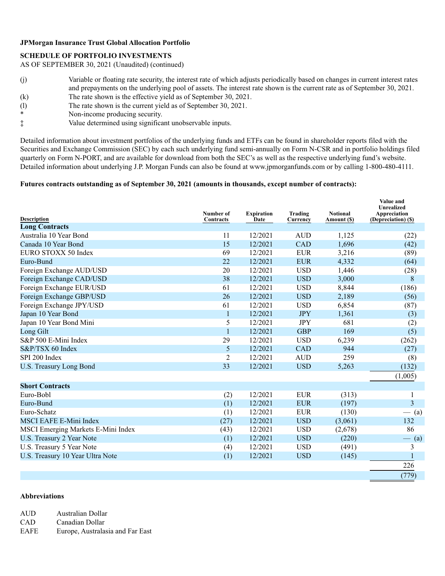### **SCHEDULE OF PORTFOLIO INVESTMENTS**

AS OF SEPTEMBER 30, 2021 (Unaudited) (continued)

- (j) Variable or floating rate security, the interest rate of which adjusts periodically based on changes in current interest rates and prepayments on the underlying pool of assets. The interest rate shown is the current rate as of September 30, 2021.
- (k) The rate shown is the effective yield as of September 30, 2021.
- (l) The rate shown is the current yield as of September 30, 2021.<br>Non-income producing security
- Non-income producing security.
- ‡ Value determined using significant unobservable inputs.

Detailed information about investment portfolios of the underlying funds and ETFs can be found in shareholder reports filed with the Securities and Exchange Commission (SEC) by each such underlying fund semi-annually on Form N-CSR and in portfolio holdings filed quarterly on Form N-PORT, and are available for download from both the SEC's as well as the respective underlying fund's website. Detailed information about underlying J.P. Morgan Funds can also be found at www.jpmorganfunds.com or by calling 1-800-480-4111.

#### **Futures contracts outstanding as of September 30, 2021 (amounts in thousands, except number of contracts):**

| <b>Description</b>                 | Number of<br>Contracts | <b>Expiration</b><br>Date | Trading<br>Currency | <b>Notional</b><br>Amount (\$) | Value and<br>Unrealized<br>Appreciation<br>(Depreciation) (\$) |
|------------------------------------|------------------------|---------------------------|---------------------|--------------------------------|----------------------------------------------------------------|
| <b>Long Contracts</b>              |                        |                           |                     |                                |                                                                |
| Australia 10 Year Bond             | 11                     | 12/2021                   | <b>AUD</b>          | 1,125                          | (22)                                                           |
| Canada 10 Year Bond                | 15                     | 12/2021                   | <b>CAD</b>          | 1,696                          | (42)                                                           |
| EURO STOXX 50 Index                | 69                     | 12/2021                   | <b>EUR</b>          | 3,216                          | (89)                                                           |
| Euro-Bund                          | 22                     | 12/2021                   | <b>EUR</b>          | 4,332                          | (64)                                                           |
| Foreign Exchange AUD/USD           | 20                     | 12/2021                   | <b>USD</b>          | 1,446                          | (28)                                                           |
| Foreign Exchange CAD/USD           | 38                     | 12/2021                   | <b>USD</b>          | 3,000                          | 8                                                              |
| Foreign Exchange EUR/USD           | 61                     | 12/2021                   | <b>USD</b>          | 8,844                          | (186)                                                          |
| Foreign Exchange GBP/USD           | 26                     | 12/2021                   | <b>USD</b>          | 2,189                          | (56)                                                           |
| Foreign Exchange JPY/USD           | 61                     | 12/2021                   | <b>USD</b>          | 6,854                          | (87)                                                           |
| Japan 10 Year Bond                 | $\mathbf{1}$           | 12/2021                   | <b>JPY</b>          | 1,361                          | (3)                                                            |
| Japan 10 Year Bond Mini            | 5                      | 12/2021                   | <b>JPY</b>          | 681                            | (2)                                                            |
| Long Gilt                          | $\mathbf{1}$           | 12/2021                   | <b>GBP</b>          | 169                            | (5)                                                            |
| S&P 500 E-Mini Index               | 29                     | 12/2021                   | <b>USD</b>          | 6,239                          | (262)                                                          |
| S&P/TSX 60 Index                   | 5                      | 12/2021                   | <b>CAD</b>          | 944                            | (27)                                                           |
| SPI 200 Index                      | 2                      | 12/2021                   | <b>AUD</b>          | 259                            | (8)                                                            |
| U.S. Treasury Long Bond            | 33                     | 12/2021                   | <b>USD</b>          | 5,263                          | (132)                                                          |
|                                    |                        |                           |                     |                                | (1,005)                                                        |
| <b>Short Contracts</b>             |                        |                           |                     |                                |                                                                |
| Euro-Bobl                          | (2)                    | 12/2021                   | <b>EUR</b>          | (313)                          | 1                                                              |
| Euro-Bund                          | (1)                    | 12/2021                   | <b>EUR</b>          | (197)                          | 3                                                              |
| Euro-Schatz                        | (1)                    | 12/2021                   | <b>EUR</b>          | (130)                          | $-$ (a)                                                        |
| <b>MSCI EAFE E-Mini Index</b>      | (27)                   | 12/2021                   | <b>USD</b>          | (3,061)                        | 132                                                            |
| MSCI Emerging Markets E-Mini Index | (43)                   | 12/2021                   | <b>USD</b>          | (2,678)                        | 86                                                             |
| U.S. Treasury 2 Year Note          | (1)                    | 12/2021                   | <b>USD</b>          | (220)                          | (a)                                                            |
| U.S. Treasury 5 Year Note          | (4)                    | 12/2021                   | <b>USD</b>          | (491)                          | 3                                                              |
| U.S. Treasury 10 Year Ultra Note   | (1)                    | 12/2021                   | <b>USD</b>          | (145)                          |                                                                |
|                                    |                        |                           |                     |                                | 226                                                            |
|                                    |                        |                           |                     |                                | (779)                                                          |

#### **Abbreviations**

AUD Australian Dollar

CAD Canadian Dollar

EAFE Europe, Australasia and Far East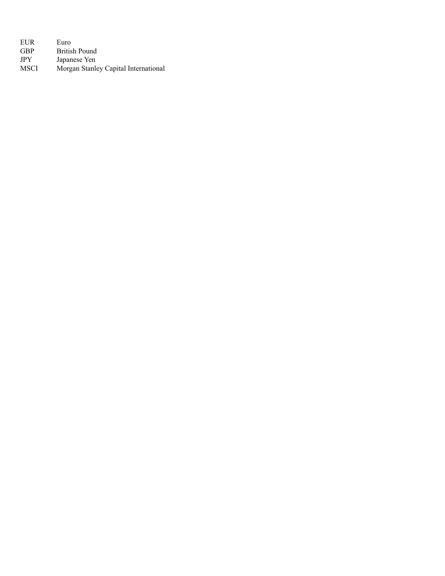EUR Euro<br>GBP Britis GBP British Pound<br>JPY Japanese Yen JPY Japanese Yen<br>MSCI Morgan Stanle Morgan Stanley Capital International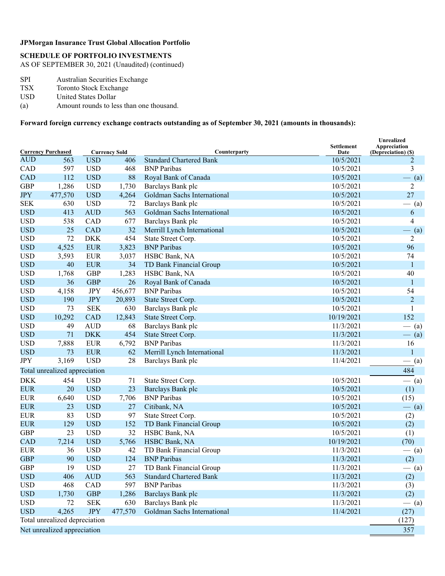## **SCHEDULE OF PORTFOLIO INVESTMENTS**

AS OF SEPTEMBER 30, 2021 (Unaudited) (continued)

- SPI Australian Securities Exchange<br>TSX Toronto Stock Exchange
- TSX Toronto Stock Exchange<br>USD United States Dollar
- United States Dollar
- (a) Amount rounds to less than one thousand.

**Forward foreign currency exchange contracts outstanding as of September 30, 2021 (amounts in thousands):**

| <b>Currency Purchased</b><br><b>Currency Sold</b> |                               |                | Counterparty | <b>Settlement</b><br>Date      | Unrealized<br>Appreciation<br>(Depreciation) (\$) |                |  |
|---------------------------------------------------|-------------------------------|----------------|--------------|--------------------------------|---------------------------------------------------|----------------|--|
| <b>AUD</b>                                        | 563                           | <b>USD</b>     | 406          | <b>Standard Chartered Bank</b> | 10/5/2021                                         | 2              |  |
| CAD                                               | 597                           | <b>USD</b>     | 468          | <b>BNP</b> Paribas             | 10/5/2021                                         | 3              |  |
| CAD                                               | 112                           | <b>USD</b>     | 88           | Royal Bank of Canada           | 10/5/2021                                         | $-$ (a)        |  |
| <b>GBP</b>                                        | 1,286                         | <b>USD</b>     | 1,730        | Barclays Bank plc              | 10/5/2021                                         | $\overline{2}$ |  |
| <b>JPY</b>                                        | 477,570                       | <b>USD</b>     | 4,264        | Goldman Sachs International    | 10/5/2021                                         | 27             |  |
| <b>SEK</b>                                        | 630                           | <b>USD</b>     | 72           | Barclays Bank plc              | 10/5/2021                                         | $-$ (a)        |  |
| <b>USD</b>                                        | 413                           | <b>AUD</b>     | 563          | Goldman Sachs International    | 10/5/2021                                         | 6              |  |
| <b>USD</b>                                        | 538                           | CAD            | 677          | Barclays Bank plc              | 10/5/2021                                         | 4              |  |
| <b>USD</b>                                        | 25                            | <b>CAD</b>     | 32           | Merrill Lynch International    | 10/5/2021                                         | $-$ (a)        |  |
| <b>USD</b>                                        | 72                            | <b>DKK</b>     | 454          | State Street Corp.             | 10/5/2021                                         | 2              |  |
| <b>USD</b>                                        | 4,525                         | <b>EUR</b>     | 3,823        | <b>BNP</b> Paribas             | 10/5/2021                                         | 96             |  |
| <b>USD</b>                                        | 3,593                         | <b>EUR</b>     | 3,037        | HSBC Bank, NA                  | 10/5/2021                                         | 74             |  |
| <b>USD</b>                                        | 40                            | <b>EUR</b>     | 34           | TD Bank Financial Group        | 10/5/2021                                         | $\mathbf{1}$   |  |
| <b>USD</b>                                        | 1,768                         | <b>GBP</b>     | 1,283        | HSBC Bank, NA                  | 10/5/2021                                         | 40             |  |
| <b>USD</b>                                        | 36                            | <b>GBP</b>     | 26           | Royal Bank of Canada           | 10/5/2021                                         | $\mathbf{1}$   |  |
| <b>USD</b>                                        | 4,158                         | <b>JPY</b>     | 456,677      | <b>BNP</b> Paribas             | 10/5/2021                                         | 54             |  |
| <b>USD</b>                                        | 190                           | <b>JPY</b>     | 20,893       | State Street Corp.             | 10/5/2021                                         | $\overline{2}$ |  |
| <b>USD</b>                                        | 73                            | <b>SEK</b>     | 630          | Barclays Bank plc              | 10/5/2021                                         | 1              |  |
| <b>USD</b>                                        | 10,292                        | <b>CAD</b>     | 12,843       | State Street Corp.             | 10/19/2021                                        | 152            |  |
| <b>USD</b>                                        | 49                            | <b>AUD</b>     | 68           | Barclays Bank plc              | 11/3/2021                                         | $-$ (a)        |  |
| <b>USD</b>                                        | 71                            | <b>DKK</b>     | 454          | State Street Corp.             | 11/3/2021                                         | $-$ (a)        |  |
| <b>USD</b>                                        | 7,888                         | <b>EUR</b>     | 6,792        | <b>BNP</b> Paribas             | 11/3/2021                                         | 16             |  |
| <b>USD</b>                                        | 73                            | <b>EUR</b>     | 62           | Merrill Lynch International    | 11/3/2021                                         | $\mathbf{1}$   |  |
| <b>JPY</b>                                        | 3,169                         | <b>USD</b>     | 28           | Barclays Bank plc              | 11/4/2021                                         | $-$ (a)        |  |
|                                                   | Total unrealized appreciation |                |              |                                |                                                   | 484            |  |
| <b>DKK</b>                                        | 454                           | <b>USD</b>     | 71           | State Street Corp.             | 10/5/2021                                         | $-$ (a)        |  |
| <b>EUR</b>                                        | 20                            | <b>USD</b>     | 23           | Barclays Bank plc              | 10/5/2021                                         | (1)            |  |
| <b>EUR</b>                                        | 6,640                         | <b>USD</b>     | 7,706        | <b>BNP</b> Paribas             | 10/5/2021                                         | (15)           |  |
| <b>EUR</b>                                        | 23                            | <b>USD</b>     | 27           | Citibank, NA                   | 10/5/2021                                         | $-$ (a)        |  |
| <b>EUR</b>                                        | 83                            | <b>USD</b>     | 97           | State Street Corp.             | 10/5/2021                                         | (2)            |  |
| <b>EUR</b>                                        | 129                           | <b>USD</b>     | 152          | TD Bank Financial Group        | 10/5/2021                                         | (2)            |  |
| <b>GBP</b>                                        | 23                            | <b>USD</b>     | 32           | HSBC Bank, NA                  | 10/5/2021                                         | (1)            |  |
| <b>CAD</b>                                        | 7,214                         | <b>USD</b>     | 5,766        | HSBC Bank, NA                  | 10/19/2021                                        | (70)           |  |
| <b>EUR</b>                                        | 36                            | <b>USD</b>     | 42           | TD Bank Financial Group        | 11/3/2021                                         | $-$ (a)        |  |
| <b>GBP</b>                                        | 90                            | <b>USD</b>     | 124          | <b>BNP</b> Paribas             | 11/3/2021                                         | (2)            |  |
| <b>GBP</b>                                        | 19                            | <b>USD</b>     | 27           | TD Bank Financial Group        | 11/3/2021                                         | $-$ (a)        |  |
| <b>USD</b>                                        | 406                           | $\mbox{AUD}$   | 563          | <b>Standard Chartered Bank</b> | 11/3/2021                                         | (2)            |  |
| <b>USD</b>                                        | 468                           | CAD            | 597          | <b>BNP</b> Paribas             | 11/3/2021                                         | (3)            |  |
| <b>USD</b>                                        | 1,730                         | <b>GBP</b>     | 1,286        | Barclays Bank plc              | 11/3/2021                                         | (2)            |  |
| <b>USD</b>                                        | 72                            | <b>SEK</b>     | 630          | Barclays Bank plc              | 11/3/2021                                         | $-$ (a)        |  |
| <b>USD</b>                                        | 4,265                         | $\mathrm{JPY}$ | 477,570      | Goldman Sachs International    | 11/4/2021                                         | (27)           |  |
|                                                   | Total unrealized depreciation |                |              |                                |                                                   | (127)          |  |
|                                                   | Net unrealized appreciation   |                |              |                                |                                                   | 357            |  |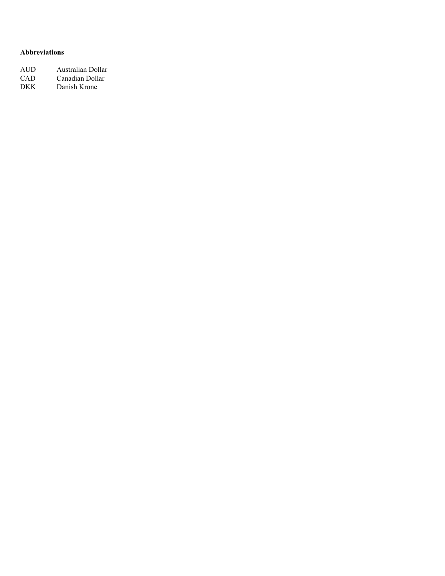### **Abbreviations**

| AUD | Australian Dollar |
|-----|-------------------|
| CAD | Canadian Dollar   |
| DKK | Danish Krone      |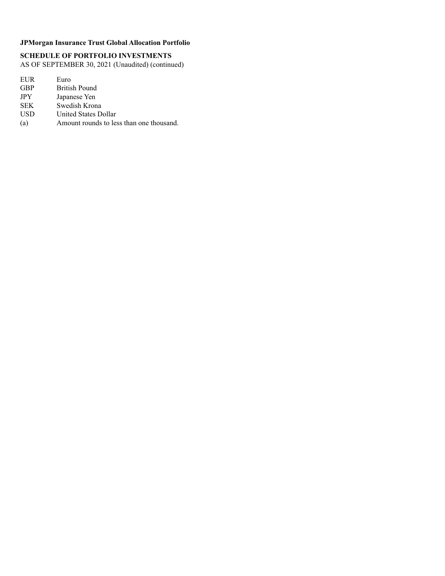## **SCHEDULE OF PORTFOLIO INVESTMENTS**

AS OF SEPTEMBER 30, 2021 (Unaudited) (continued)

EUR Euro<br>GBP Britis GBP British Pound<br>JPY Japanese Yen JPY Japanese Yen<br>SEK Swedish Kron SEK Swedish Krona<br>USD United States De United States Dollar

(a) Amount rounds to less than one thousand.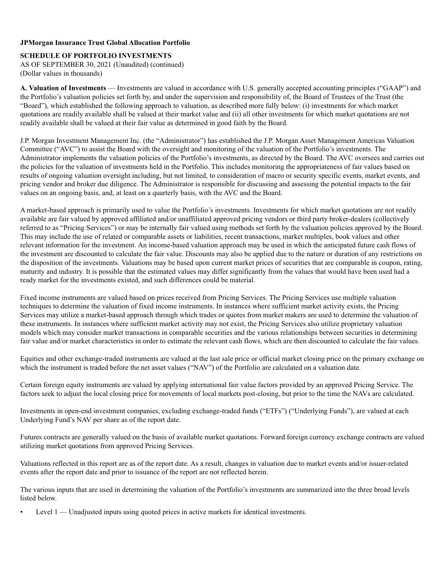### **SCHEDULE OF PORTFOLIO INVESTMENTS**

AS OF SEPTEMBER 30, 2021 (Unaudited) (continued) (Dollar values in thousands)

**A. Valuation of Investments** — Investments are valued in accordance with U.S. generally accepted accounting principles ("GAAP") and the Portfolio's valuation policies set forth by, and under the supervision and responsibility of, the Board of Trustees of the Trust (the "Board"), which established the following approach to valuation, as described more fully below: (i) investments for which market quotations are readily available shall be valued at their market value and (ii) all other investments for which market quotations are not readily available shall be valued at their fair value as determined in good faith by the Board.

J.P. Morgan Investment Management Inc. (the "Administrator") has established the J.P. Morgan Asset Management Americas Valuation Committee ("AVC") to assist the Board with the oversight and monitoring of the valuation of the Portfolio's investments. The Administrator implements the valuation policies of the Portfolio's investments, as directed by the Board. The AVC oversees and carries out the policies for the valuation of investments held in the Portfolio. This includes monitoring the appropriateness of fair values based on results of ongoing valuation oversight including, but not limited, to consideration of macro or security specific events, market events, and pricing vendor and broker due diligence. The Administrator is responsible for discussing and assessing the potential impacts to the fair values on an ongoing basis, and, at least on a quarterly basis, with the AVC and the Board.

A market-based approach is primarily used to value the Portfolio's investments. Investments for which market quotations are not readily available are fair valued by approved affiliated and/or unaffiliated approved pricing vendors or third party broker-dealers (collectively referred to as "Pricing Services") or may be internally fair valued using methods set forth by the valuation policies approved by the Board. This may include the use of related or comparable assets or liabilities, recent transactions, market multiples, book values and other relevant information for the investment. An income-based valuation approach may be used in which the anticipated future cash flows of the investment are discounted to calculate the fair value. Discounts may also be applied due to the nature or duration of any restrictions on the disposition of the investments. Valuations may be based upon current market prices of securities that are comparable in coupon, rating, maturity and industry. It is possible that the estimated values may differ significantly from the values that would have been used had a ready market for the investments existed, and such differences could be material.

Fixed income instruments are valued based on prices received from Pricing Services. The Pricing Services use multiple valuation techniques to determine the valuation of fixed income instruments. In instances where sufficient market activity exists, the Pricing Services may utilize a market-based approach through which trades or quotes from market makers are used to determine the valuation of these instruments. In instances where sufficient market activity may not exist, the Pricing Services also utilize proprietary valuation models which may consider market transactions in comparable securities and the various relationships between securities in determining fair value and/or market characteristics in order to estimate the relevant cash flows, which are then discounted to calculate the fair values.

Equities and other exchange-traded instruments are valued at the last sale price or official market closing price on the primary exchange on which the instrument is traded before the net asset values ("NAV") of the Portfolio are calculated on a valuation date.

Certain foreign equity instruments are valued by applying international fair value factors provided by an approved Pricing Service. The factors seek to adjust the local closing price for movements of local markets post-closing, but prior to the time the NAVs are calculated.

Investments in open-end investment companies, excluding exchange-traded funds ("ETFs") ("Underlying Funds"), are valued at each Underlying Fund's NAV per share as of the report date.

Futures contracts are generally valued on the basis of available market quotations. Forward foreign currency exchange contracts are valued utilizing market quotations from approved Pricing Services.

Valuations reflected in this report are as of the report date. As a result, changes in valuation due to market events and/or issuer-related events after the report date and prior to issuance of the report are not reflected herein.

The various inputs that are used in determining the valuation of the Portfolio's investments are summarized into the three broad levels listed below.

Level 1 — Unadjusted inputs using quoted prices in active markets for identical investments.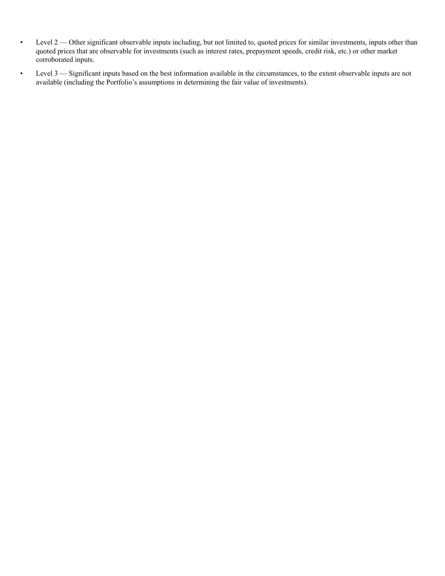- Level 2 Other significant observable inputs including, but not limited to, quoted prices for similar investments, inputs other than quoted prices that are observable for investments (such as interest rates, prepayment speeds, credit risk, etc.) or other market corroborated inputs.
- Level 3 Significant inputs based on the best information available in the circumstances, to the extent observable inputs are not available (including the Portfolio's assumptions in determining the fair value of investments).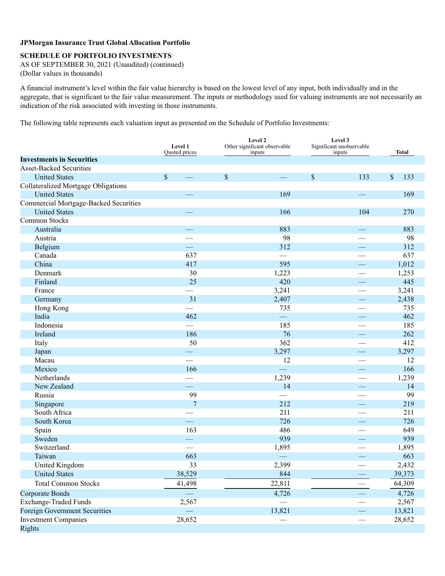## **SCHEDULE OF PORTFOLIO INVESTMENTS**

AS OF SEPTEMBER 30, 2021 (Unaudited) (continued) (Dollar values in thousands)

A financial instrument's level within the fair value hierarchy is based on the lowest level of any input, both individually and in the aggregate, that is significant to the fair value measurement. The inputs or methodology used for valuing instruments are not necessarily an indication of the risk associated with investing in those instruments.

The following table represents each valuation input as presented on the Schedule of Portfolio Investments:

|                                            | Level 1<br>Quoted prices | Level 2<br>Other significant observable<br>inputs | Level 3<br>Significant unobservable<br>inputs                                | Total                |
|--------------------------------------------|--------------------------|---------------------------------------------------|------------------------------------------------------------------------------|----------------------|
| <b>Investments in Securities</b>           |                          |                                                   |                                                                              |                      |
| <b>Asset-Backed Securities</b>             |                          |                                                   |                                                                              |                      |
| <b>United States</b>                       | $\sqrt{\ }$              | $\$$                                              | $\mathbb{S}% _{t}\left( t\right) \equiv\mathbb{S}_{t}\left( t\right)$<br>133 | $\mathcal{S}$<br>133 |
| <b>Collateralized Mortgage Obligations</b> |                          |                                                   |                                                                              |                      |
| <b>United States</b>                       |                          | 169                                               |                                                                              | 169                  |
| Commercial Mortgage-Backed Securities      |                          |                                                   |                                                                              |                      |
| <b>United States</b>                       |                          | 166                                               | 104                                                                          | 270                  |
| Common Stocks                              |                          |                                                   |                                                                              |                      |
| Australia                                  |                          | 883                                               |                                                                              | 883                  |
| Austria                                    |                          | 98                                                |                                                                              | 98                   |
| Belgium                                    |                          | 312                                               |                                                                              | 312                  |
| Canada                                     | 637                      |                                                   |                                                                              | 637                  |
| China                                      | 417                      | 595                                               |                                                                              | 1,012                |
| Denmark                                    | 30                       | 1,223                                             |                                                                              | 1,253                |
| Finland                                    | 25                       | 420                                               |                                                                              | 445                  |
| France                                     |                          | 3,241                                             |                                                                              | 3,241                |
| Germany                                    | 31                       | 2,407                                             |                                                                              | 2,438                |
| Hong Kong                                  |                          | 735                                               |                                                                              | 735                  |
| India                                      | 462                      |                                                   |                                                                              | 462                  |
| Indonesia                                  |                          | 185                                               |                                                                              | 185                  |
| Ireland                                    | 186                      | 76                                                |                                                                              | 262                  |
| Italy                                      | 50                       | 362                                               |                                                                              | 412                  |
| Japan                                      |                          | 3,297                                             |                                                                              | 3,297                |
| Macau                                      |                          | 12                                                |                                                                              | 12                   |
| Mexico                                     | 166                      | шù.                                               |                                                                              | 166                  |
| Netherlands                                |                          | 1,239                                             |                                                                              | 1,239                |
| New Zealand                                |                          | 14                                                |                                                                              | 14                   |
| Russia                                     | 99                       |                                                   |                                                                              | 99                   |
| Singapore                                  | 7                        | 212                                               |                                                                              | 219                  |
| South Africa                               |                          | 211                                               |                                                                              | 211                  |
| South Korea                                |                          | 726                                               |                                                                              | 726                  |
| Spain                                      | 163                      | 486                                               |                                                                              | 649                  |
| Sweden                                     |                          | 939                                               |                                                                              | 939                  |
| Switzerland                                |                          | 1,895                                             |                                                                              | 1,895                |
| Taiwan                                     | 663                      |                                                   |                                                                              | 663                  |
| United Kingdom                             | 33                       | 2,399                                             |                                                                              | 2,432                |
| <b>United States</b>                       | 38,529                   | 844                                               |                                                                              | 39,373               |
| <b>Total Common Stocks</b>                 | 41,498                   | 22,811                                            |                                                                              | 64,309               |
| <b>Corporate Bonds</b>                     |                          | 4,726                                             |                                                                              | 4,726                |
| <b>Exchange-Traded Funds</b>               | 2,567                    |                                                   |                                                                              | 2,567                |
| <b>Foreign Government Securities</b>       |                          | 13,821                                            |                                                                              | 13,821               |
| <b>Investment Companies</b>                | 28,652                   |                                                   |                                                                              | 28,652               |
| <b>Rights</b>                              |                          |                                                   |                                                                              |                      |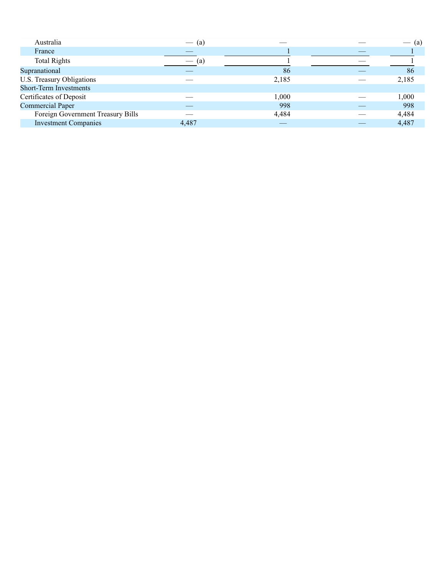| Australia                         | $-$ (a) |       | (a)   |
|-----------------------------------|---------|-------|-------|
| France                            |         |       |       |
| <b>Total Rights</b>               | (a)     |       |       |
| Supranational                     |         | 86    | 86    |
| U.S. Treasury Obligations         |         | 2,185 | 2,185 |
| <b>Short-Term Investments</b>     |         |       |       |
| Certificates of Deposit           |         | 1,000 | 1,000 |
| <b>Commercial Paper</b>           |         | 998   | 998   |
| Foreign Government Treasury Bills | ---     | 4,484 | 4,484 |
| <b>Investment Companies</b>       | 4,487   |       | 4,487 |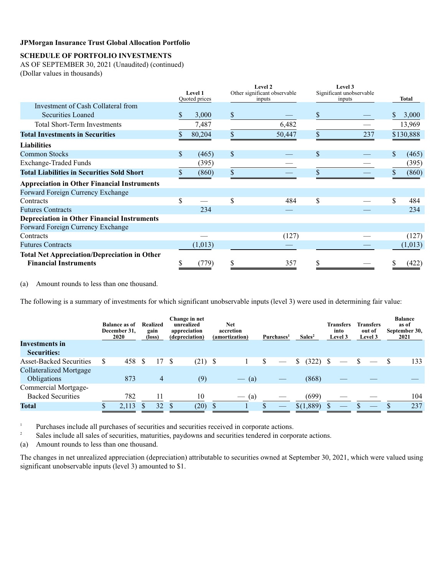## **SCHEDULE OF PORTFOLIO INVESTMENTS**

AS OF SEPTEMBER 30, 2021 (Unaudited) (continued) (Dollar values in thousands)

|                                                     | Level 1<br>Quoted prices |         | Level 2<br>Other significant observable<br>inputs |        | Level 3<br>Significant unobservable<br>inputs |     | Total       |
|-----------------------------------------------------|--------------------------|---------|---------------------------------------------------|--------|-----------------------------------------------|-----|-------------|
| Investment of Cash Collateral from                  |                          |         |                                                   |        |                                               |     |             |
| <b>Securities Loaned</b>                            | S                        | 3,000   | $\boldsymbol{\mathsf{S}}$                         |        | \$                                            |     | 3,000       |
| <b>Total Short-Term Investments</b>                 |                          | 7,487   |                                                   | 6,482  |                                               |     | 13,969      |
| <b>Total Investments in Securities</b>              |                          | 80,204  | \$                                                | 50,447 | \$                                            | 237 | \$130,888   |
| <b>Liabilities</b>                                  |                          |         |                                                   |        |                                               |     |             |
| <b>Common Stocks</b>                                | \$.                      | (465)   | $\boldsymbol{\mathsf{S}}$                         |        | $\mathbb{S}$                                  |     | \$<br>(465) |
| <b>Exchange-Traded Funds</b>                        |                          | (395)   |                                                   |        |                                               |     | (395)       |
| <b>Total Liabilities in Securities Sold Short</b>   |                          | (860)   | $\mathbb{S}$                                      |        |                                               |     | (860)       |
| <b>Appreciation in Other Financial Instruments</b>  |                          |         |                                                   |        |                                               |     |             |
| Forward Foreign Currency Exchange                   |                          |         |                                                   |        |                                               |     |             |
| Contracts                                           | S                        |         | \$                                                | 484    | \$                                            |     | \$<br>484   |
| <b>Futures Contracts</b>                            |                          | 234     |                                                   |        |                                               |     | 234         |
| <b>Depreciation in Other Financial Instruments</b>  |                          |         |                                                   |        |                                               |     |             |
| Forward Foreign Currency Exchange                   |                          |         |                                                   |        |                                               |     |             |
| Contracts                                           |                          |         |                                                   | (127)  |                                               |     | (127)       |
| <b>Futures Contracts</b>                            |                          | (1,013) |                                                   |        |                                               |     | (1, 013)    |
| <b>Total Net Appreciation/Depreciation in Other</b> |                          |         |                                                   |        |                                               |     |             |
| <b>Financial Instruments</b>                        |                          | (779)   |                                                   | 357    | ъ                                             |     | (422)       |

(a) Amount rounds to less than one thousand.

The following is a summary of investments for which significant unobservable inputs (level 3) were used in determining fair value:

|                                | <b>Balance as of</b><br>December 31,<br>2020 |          | Realized<br>gain<br>(loss) | Change in net<br>unrealized<br>appreciation<br>(depreciation) |           | <b>Net</b><br>accretion<br>(amortization) |                         | Purchases <sup>1</sup> |  | Sales <sup>2</sup> | <b>Transfers</b><br>into<br>Level 3 |  | <b>Transfers</b><br>out of<br>Level 3 |  | <b>Balance</b><br>as of<br>September 30,<br>2021 |     |
|--------------------------------|----------------------------------------------|----------|----------------------------|---------------------------------------------------------------|-----------|-------------------------------------------|-------------------------|------------------------|--|--------------------|-------------------------------------|--|---------------------------------------|--|--------------------------------------------------|-----|
| <b>Investments in</b>          |                                              |          |                            |                                                               |           |                                           |                         |                        |  |                    |                                     |  |                                       |  |                                                  |     |
| <b>Securities:</b>             |                                              |          |                            |                                                               |           |                                           |                         |                        |  |                    |                                     |  |                                       |  |                                                  |     |
| <b>Asset-Backed Securities</b> | 458                                          | <b>S</b> | 17                         | S                                                             | $(21)$ \$ |                                           |                         |                        |  | (322)              |                                     |  |                                       |  |                                                  | 133 |
| <b>Collateralized Mortgage</b> |                                              |          |                            |                                                               |           |                                           |                         |                        |  |                    |                                     |  |                                       |  |                                                  |     |
| Obligations                    | 873                                          |          | 4                          |                                                               | (9)       |                                           | (a)<br>$\hspace{0.1cm}$ |                        |  | (868)              |                                     |  |                                       |  |                                                  |     |
| Commercial Mortgage-           |                                              |          |                            |                                                               |           |                                           |                         |                        |  |                    |                                     |  |                                       |  |                                                  |     |
| <b>Backed Securities</b>       | 782                                          |          |                            |                                                               | 10        |                                           | (a)<br>$\hspace{0.1cm}$ |                        |  | (699)              |                                     |  |                                       |  |                                                  | 104 |
| <b>Total</b>                   | 2,113                                        |          | 32                         |                                                               | (20)      |                                           |                         |                        |  | \$(1,889)          |                                     |  |                                       |  |                                                  | 237 |

<sup>1</sup> Purchases include all purchases of securities and securities received in corporate actions.<br><sup>2</sup> Seles include all seles of securities meturities paydowns and securities tendered in corporation

Sales include all sales of securities, maturities, paydowns and securities tendered in corporate actions.

(a) Amount rounds to less than one thousand.

The changes in net unrealized appreciation (depreciation) attributable to securities owned at September 30, 2021, which were valued using significant unobservable inputs (level 3) amounted to \$1.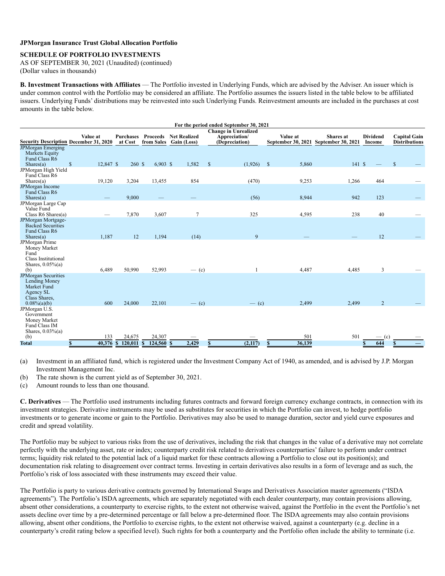#### **SCHEDULE OF PORTFOLIO INVESTMENTS**

AS OF SEPTEMBER 30, 2021 (Unaudited) (continued) (Dollar values in thousands)

**B. Investment Transactions with Affiliates** — The Portfolio invested in Underlying Funds, which are advised by the Adviser. An issuer which is under common control with the Portfolio may be considered an affiliate. The Portfolio assumes the issuers listed in the table below to be affiliated issuers. Underlying Funds' distributions may be reinvested into such Underlying Funds. Reinvestment amounts are included in the purchases at cost amounts in the table below.

|                                               |                             |                      |                            |                                    |               | For the period ended September 30, 2021 |                                |                                 |                           |                                             |  |  |
|-----------------------------------------------|-----------------------------|----------------------|----------------------------|------------------------------------|---------------|-----------------------------------------|--------------------------------|---------------------------------|---------------------------|---------------------------------------------|--|--|
|                                               | <b>Change in Unrealized</b> |                      |                            |                                    |               |                                         |                                |                                 |                           |                                             |  |  |
| <b>Security Description December 31, 2020</b> | Value at                    | Purchases<br>at Cost | Proceeds<br>from Sales     | <b>Net Realized</b><br>Gain (Loss) |               | Appreciation/<br>(Depreciation)         | Value at<br>September 30, 2021 | Shares at<br>September 30, 2021 | <b>Dividend</b><br>Income | <b>Capital Gain</b><br><b>Distributions</b> |  |  |
| <b>JPMorgan Emerging</b>                      |                             |                      |                            |                                    |               |                                         |                                |                                 |                           |                                             |  |  |
| Markets Equity                                |                             |                      |                            |                                    |               |                                         |                                |                                 |                           |                                             |  |  |
| Fund Class R6                                 |                             |                      |                            |                                    |               |                                         |                                |                                 |                           |                                             |  |  |
| Shares(a)                                     | $\mathbf S$<br>12,847 \$    | 260 \$               | $6,903$ \$                 | 1,582                              | $\mathsf{\$}$ | (1,926)                                 | $\mathbf{\hat{s}}$<br>5,860    | 141S                            |                           | $\mathbf S$                                 |  |  |
| JPMorgan High Yield                           |                             |                      |                            |                                    |               |                                         |                                |                                 |                           |                                             |  |  |
| Fund Class R6                                 |                             |                      |                            |                                    |               |                                         |                                |                                 |                           |                                             |  |  |
| Shares(a)                                     | 19,120                      | 3,204                | 13,455                     | 854                                |               | (470)                                   | 9,253                          | 1,266                           | 464                       |                                             |  |  |
| <b>JPMorgan Income</b><br>Fund Class R6       |                             |                      |                            |                                    |               |                                         |                                |                                 |                           |                                             |  |  |
| Shares(a)                                     |                             | 9,000                |                            |                                    |               | (56)                                    | 8,944                          | 942                             | 123                       |                                             |  |  |
| JPMorgan Large Cap                            |                             |                      |                            |                                    |               |                                         |                                |                                 |                           |                                             |  |  |
| Value Fund                                    |                             |                      |                            |                                    |               |                                         |                                |                                 |                           |                                             |  |  |
| Class R6 Shares(a)                            |                             | 7,870                | 3,607                      | $\overline{7}$                     |               | 325                                     | 4,595                          | 238                             | 40                        |                                             |  |  |
| JPMorgan Mortgage-                            |                             |                      |                            |                                    |               |                                         |                                |                                 |                           |                                             |  |  |
| <b>Backed Securities</b>                      |                             |                      |                            |                                    |               |                                         |                                |                                 |                           |                                             |  |  |
| Fund Class R6                                 |                             |                      |                            |                                    |               |                                         |                                |                                 |                           |                                             |  |  |
| Shares(a)                                     | 1,187                       | 12                   | 1,194                      | (14)                               |               | 9                                       |                                |                                 | 12                        |                                             |  |  |
| JPMorgan Prime                                |                             |                      |                            |                                    |               |                                         |                                |                                 |                           |                                             |  |  |
| Money Market                                  |                             |                      |                            |                                    |               |                                         |                                |                                 |                           |                                             |  |  |
| Fund                                          |                             |                      |                            |                                    |               |                                         |                                |                                 |                           |                                             |  |  |
| Class Institutional                           |                             |                      |                            |                                    |               |                                         |                                |                                 |                           |                                             |  |  |
| Shares, $0.05\%$ (a)<br>(b)                   | 6,489                       | 50,990               | 52,993                     |                                    |               |                                         | 4,487                          | 4,485                           | $\overline{3}$            |                                             |  |  |
| <b>JPMorgan Securities</b>                    |                             |                      |                            | $-$ (c)                            |               |                                         |                                |                                 |                           |                                             |  |  |
| Lending Money                                 |                             |                      |                            |                                    |               |                                         |                                |                                 |                           |                                             |  |  |
| Market Fund                                   |                             |                      |                            |                                    |               |                                         |                                |                                 |                           |                                             |  |  |
| Agency SL                                     |                             |                      |                            |                                    |               |                                         |                                |                                 |                           |                                             |  |  |
| Class Shares.                                 |                             |                      |                            |                                    |               |                                         |                                |                                 |                           |                                             |  |  |
| $0.08\%$ (a)(b)                               | 600                         | 24,000               | 22,101                     | $-$ (c)                            |               | $-$ (c)                                 | 2,499                          | 2,499                           | $\overline{2}$            |                                             |  |  |
| JPMorgan U.S.                                 |                             |                      |                            |                                    |               |                                         |                                |                                 |                           |                                             |  |  |
| Government                                    |                             |                      |                            |                                    |               |                                         |                                |                                 |                           |                                             |  |  |
| Money Market                                  |                             |                      |                            |                                    |               |                                         |                                |                                 |                           |                                             |  |  |
| Fund Class IM                                 |                             |                      |                            |                                    |               |                                         |                                |                                 |                           |                                             |  |  |
| Shares, $0.03%$ (a)                           | 133                         | 24,675               |                            |                                    |               |                                         |                                | 501                             |                           |                                             |  |  |
| (b)                                           |                             |                      | 24,307                     |                                    |               |                                         | 501                            |                                 | $-$ (c)                   |                                             |  |  |
| <b>Total</b>                                  | \$                          | 40,376 \$ 120,011    | $\mathbf{s}$<br>124,560 \$ | 2,429                              | S             | (2,117)                                 | 36,139<br>$\mathbf{s}$         |                                 | 644                       |                                             |  |  |

(a) Investment in an affiliated fund, which is registered under the Investment Company Act of 1940, as amended, and is advised by J.P. Morgan Investment Management Inc.

(b) The rate shown is the current yield as of September 30, 2021.

(c) Amount rounds to less than one thousand.

**C. Derivatives** — The Portfolio used instruments including futures contracts and forward foreign currency exchange contracts, in connection with its investment strategies. Derivative instruments may be used as substitutes for securities in which the Portfolio can invest, to hedge portfolio investments or to generate income or gain to the Portfolio. Derivatives may also be used to manage duration, sector and yield curve exposures and credit and spread volatility.

The Portfolio may be subject to various risks from the use of derivatives, including the risk that changes in the value of a derivative may not correlate perfectly with the underlying asset, rate or index; counterparty credit risk related to derivatives counterparties' failure to perform under contract terms; liquidity risk related to the potential lack of a liquid market for these contracts allowing a Portfolio to close out its position(s); and documentation risk relating to disagreement over contract terms. Investing in certain derivatives also results in a form of leverage and as such, the Portfolio's risk of loss associated with these instruments may exceed their value.

The Portfolio is party to various derivative contracts governed by International Swaps and Derivatives Association master agreements ("ISDA agreements"). The Portfolio's ISDA agreements, which are separately negotiated with each dealer counterparty, may contain provisions allowing, absent other considerations, a counterparty to exercise rights, to the extent not otherwise waived, against the Portfolio in the event the Portfolio's net assets decline over time by a pre-determined percentage or fall below a pre-determined floor. The ISDA agreements may also contain provisions allowing, absent other conditions, the Portfolio to exercise rights, to the extent not otherwise waived, against a counterparty (e.g. decline in a counterparty's credit rating below a specified level). Such rights for both a counterparty and the Portfolio often include the ability to terminate (i.e.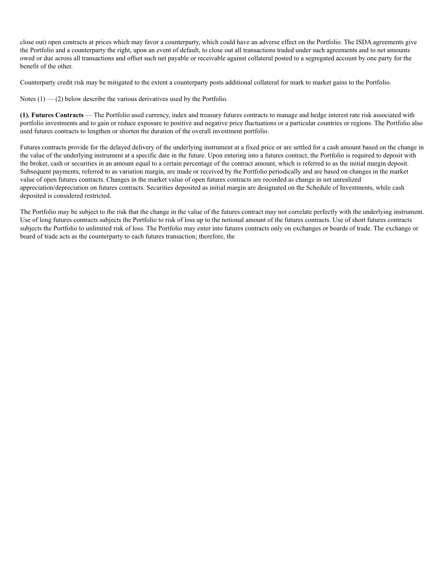close out) open contracts at prices which may favor a counterparty, which could have an adverse effect on the Portfolio. The ISDA agreements give the Portfolio and a counterparty the right, upon an event of default, to close out all transactions traded under such agreements and to net amounts owed or due across all transactions and offset such net payable or receivable against collateral posted to a segregated account by one party for the benefit of the other.

Counterparty credit risk may be mitigated to the extent a counterparty posts additional collateral for mark to market gains to the Portfolio.

Notes  $(1)$  — (2) below describe the various derivatives used by the Portfolio.

**(1). Futures Contracts** — The Portfolio used currency, index and treasury futures contracts to manage and hedge interest rate risk associated with portfolio investments and to gain or reduce exposure to positive and negative price fluctuations or a particular countries or regions. The Portfolio also used futures contracts to lengthen or shorten the duration of the overall investment portfolio.

Futures contracts provide for the delayed delivery of the underlying instrument at a fixed price or are settled for a cash amount based on the change in the value of the underlying instrument at a specific date in the future. Upon entering into a futures contract, the Portfolio is required to deposit with the broker, cash or securities in an amount equal to a certain percentage of the contract amount, which is referred to as the initial margin deposit. Subsequent payments, referred to as variation margin, are made or received by the Portfolio periodically and are based on changes in the market value of open futures contracts. Changes in the market value of open futures contracts are recorded as change in net unrealized appreciation/depreciation on futures contracts. Securities deposited as initial margin are designated on the Schedule of Investments, while cash deposited is considered restricted.

The Portfolio may be subject to the risk that the change in the value of the futures contract may not correlate perfectly with the underlying instrument. Use of long futures contracts subjects the Portfolio to risk of loss up to the notional amount of the futures contracts. Use of short futures contracts subjects the Portfolio to unlimited risk of loss. The Portfolio may enter into futures contracts only on exchanges or boards of trade. The exchange or board of trade acts as the counterparty to each futures transaction; therefore, the